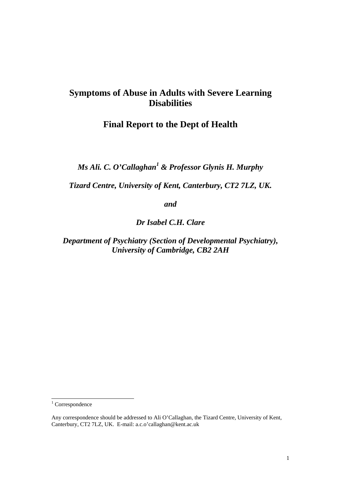# **Symptoms of Abuse in Adults with Severe Learning Disabilities**

## **Final Report to the Dept of Health**

*Ms Ali. C. O'Callaghan<sup>1</sup> & Professor Glynis H. Murphy* 

*Tizard Centre, University of Kent, Canterbury, CT2 7LZ, UK.* 

*and* 

*Dr Isabel C.H. Clare* 

*Department of Psychiatry (Section of Developmental Psychiatry), University of Cambridge, CB2 2AH*

-

<sup>&</sup>lt;sup>1</sup> Correspondence

Any correspondence should be addressed to Ali O'Callaghan, the Tizard Centre, University of Kent, Canterbury, CT2 7LZ, UK. E-mail: a.c.o'callaghan@kent.ac.uk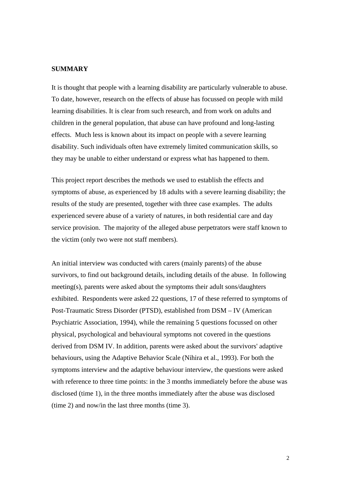#### **SUMMARY**

It is thought that people with a learning disability are particularly vulnerable to abuse. To date, however, research on the effects of abuse has focussed on people with mild learning disabilities. It is clear from such research, and from work on adults and children in the general population, that abuse can have profound and long-lasting effects. Much less is known about its impact on people with a severe learning disability. Such individuals often have extremely limited communication skills, so they may be unable to either understand or express what has happened to them.

This project report describes the methods we used to establish the effects and symptoms of abuse, as experienced by 18 adults with a severe learning disability; the results of the study are presented, together with three case examples. The adults experienced severe abuse of a variety of natures, in both residential care and day service provision. The majority of the alleged abuse perpetrators were staff known to the victim (only two were not staff members).

An initial interview was conducted with carers (mainly parents) of the abuse survivors, to find out background details, including details of the abuse. In following meeting(s), parents were asked about the symptoms their adult sons/daughters exhibited. Respondents were asked 22 questions, 17 of these referred to symptoms of Post-Traumatic Stress Disorder (PTSD), established from DSM – IV (American Psychiatric Association, 1994), while the remaining 5 questions focussed on other physical, psychological and behavioural symptoms not covered in the questions derived from DSM IV. In addition, parents were asked about the survivors' adaptive behaviours, using the Adaptive Behavior Scale (Nihira et al., 1993). For both the symptoms interview and the adaptive behaviour interview, the questions were asked with reference to three time points: in the 3 months immediately before the abuse was disclosed (time 1), in the three months immediately after the abuse was disclosed (time 2) and now/in the last three months (time 3).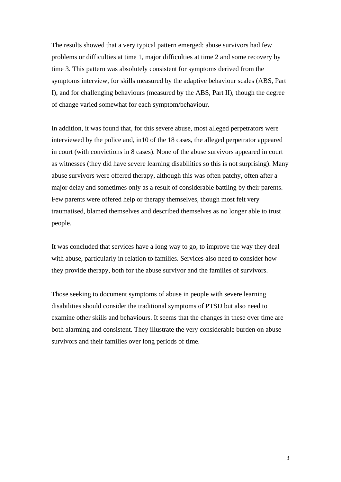The results showed that a very typical pattern emerged: abuse survivors had few problems or difficulties at time 1, major difficulties at time 2 and some recovery by time 3. This pattern was absolutely consistent for symptoms derived from the symptoms interview, for skills measured by the adaptive behaviour scales (ABS, Part I), and for challenging behaviours (measured by the ABS, Part II), though the degree of change varied somewhat for each symptom/behaviour.

In addition, it was found that, for this severe abuse, most alleged perpetrators were interviewed by the police and, in10 of the 18 cases, the alleged perpetrator appeared in court (with convictions in 8 cases). None of the abuse survivors appeared in court as witnesses (they did have severe learning disabilities so this is not surprising). Many abuse survivors were offered therapy, although this was often patchy, often after a major delay and sometimes only as a result of considerable battling by their parents. Few parents were offered help or therapy themselves, though most felt very traumatised, blamed themselves and described themselves as no longer able to trust people.

It was concluded that services have a long way to go, to improve the way they deal with abuse, particularly in relation to families. Services also need to consider how they provide therapy, both for the abuse survivor and the families of survivors.

Those seeking to document symptoms of abuse in people with severe learning disabilities should consider the traditional symptoms of PTSD but also need to examine other skills and behaviours. It seems that the changes in these over time are both alarming and consistent. They illustrate the very considerable burden on abuse survivors and their families over long periods of time.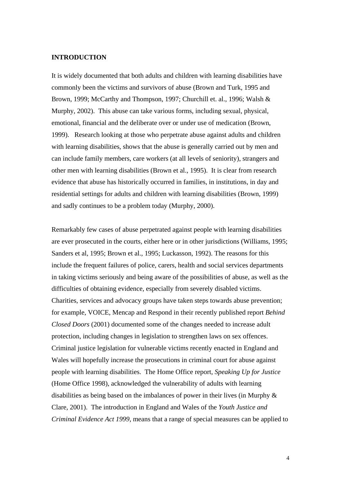#### **INTRODUCTION**

It is widely documented that both adults and children with learning disabilities have commonly been the victims and survivors of abuse (Brown and Turk, 1995 and Brown, 1999; McCarthy and Thompson, 1997; Churchill et. al., 1996; Walsh & Murphy, 2002). This abuse can take various forms, including sexual, physical, emotional, financial and the deliberate over or under use of medication (Brown, 1999). Research looking at those who perpetrate abuse against adults and children with learning disabilities, shows that the abuse is generally carried out by men and can include family members, care workers (at all levels of seniority), strangers and other men with learning disabilities (Brown et al., 1995). It is clear from research evidence that abuse has historically occurred in families, in institutions, in day and residential settings for adults and children with learning disabilities (Brown, 1999) and sadly continues to be a problem today (Murphy, 2000).

Remarkably few cases of abuse perpetrated against people with learning disabilities are ever prosecuted in the courts, either here or in other jurisdictions (Williams, 1995; Sanders et al, 1995; Brown et al., 1995; Luckasson, 1992). The reasons for this include the frequent failures of police, carers, health and social services departments in taking victims seriously and being aware of the possibilities of abuse, as well as the difficulties of obtaining evidence, especially from severely disabled victims. Charities, services and advocacy groups have taken steps towards abuse prevention; for example, VOICE, Mencap and Respond in their recently published report *Behind Closed Doors* (2001) documented some of the changes needed to increase adult protection, including changes in legislation to strengthen laws on sex offences. Criminal justice legislation for vulnerable victims recently enacted in England and Wales will hopefully increase the prosecutions in criminal court for abuse against people with learning disabilities. The Home Office report, *Speaking Up for Justice*  (Home Office 1998), acknowledged the vulnerability of adults with learning disabilities as being based on the imbalances of power in their lives (in Murphy & Clare, 2001). The introduction in England and Wales of the *Youth Justice and Criminal Evidence Act 1999*, means that a range of special measures can be applied to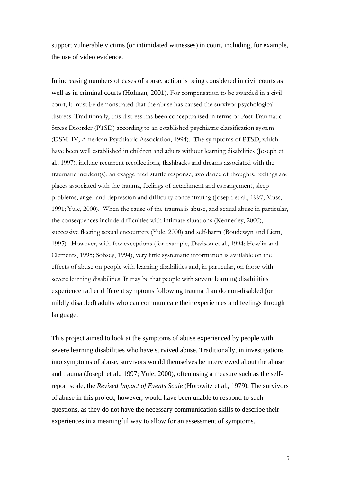support vulnerable victims (or intimidated witnesses) in court, including, for example, the use of video evidence.

In increasing numbers of cases of abuse, action is being considered in civil courts as well as in criminal courts (Holman, 2001). For compensation to be awarded in a civil court, it must be demonstrated that the abuse has caused the survivor psychological distress. Traditionally, this distress has been conceptualised in terms of Post Traumatic Stress Disorder (PTSD) according to an established psychiatric classification system (DSM–IV, American Psychiatric Association, 1994). The symptoms of PTSD, which have been well established in children and adults without learning disabilities (Joseph et al., 1997), include recurrent recollections, flashbacks and dreams associated with the traumatic incident(s), an exaggerated startle response, avoidance of thoughts, feelings and places associated with the trauma, feelings of detachment and estrangement, sleep problems, anger and depression and difficulty concentrating (Joseph et al., 1997; Muss, 1991; Yule, 2000). When the cause of the trauma is abuse, and sexual abuse in particular, the consequences include difficulties with intimate situations (Kennerley, 2000), successive fleeting sexual encounters (Yule, 2000) and self-harm (Boudewyn and Liem, 1995). However, with few exceptions (for example, Davison et al., 1994; Howlin and Clements, 1995; Sobsey, 1994), very little systematic information is available on the effects of abuse on people with learning disabilities and, in particular, on those with severe learning disabilities. It may be that people with severe learning disabilities experience rather different symptoms following trauma than do non-disabled (or mildly disabled) adults who can communicate their experiences and feelings through language.

This project aimed to look at the symptoms of abuse experienced by people with severe learning disabilities who have survived abuse. Traditionally, in investigations into symptoms of abuse, survivors would themselves be interviewed about the abuse and trauma (Joseph et al., 1997; Yule, 2000), often using a measure such as the selfreport scale, the *Revised Impact of Events Scale* (Horowitz et al., 1979). The survivors of abuse in this project, however, would have been unable to respond to such questions, as they do not have the necessary communication skills to describe their experiences in a meaningful way to allow for an assessment of symptoms.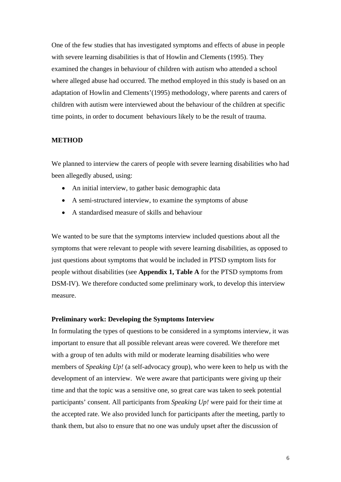One of the few studies that has investigated symptoms and effects of abuse in people with severe learning disabilities is that of Howlin and Clements (1995). They examined the changes in behaviour of children with autism who attended a school where alleged abuse had occurred. The method employed in this study is based on an adaptation of Howlin and Clements'(1995) methodology, where parents and carers of children with autism were interviewed about the behaviour of the children at specific time points, in order to document behaviours likely to be the result of trauma.

#### **METHOD**

We planned to interview the carers of people with severe learning disabilities who had been allegedly abused, using:

- An initial interview, to gather basic demographic data
- A semi-structured interview, to examine the symptoms of abuse
- A standardised measure of skills and behaviour

We wanted to be sure that the symptoms interview included questions about all the symptoms that were relevant to people with severe learning disabilities, as opposed to just questions about symptoms that would be included in PTSD symptom lists for people without disabilities (see **Appendix 1, Table A** for the PTSD symptoms from DSM-IV). We therefore conducted some preliminary work, to develop this interview measure.

#### **Preliminary work: Developing the Symptoms Interview**

In formulating the types of questions to be considered in a symptoms interview, it was important to ensure that all possible relevant areas were covered. We therefore met with a group of ten adults with mild or moderate learning disabilities who were members of *Speaking Up!* (a self-advocacy group), who were keen to help us with the development of an interview. We were aware that participants were giving up their time and that the topic was a sensitive one, so great care was taken to seek potential participants' consent. All participants from *Speaking Up!* were paid for their time at the accepted rate. We also provided lunch for participants after the meeting, partly to thank them, but also to ensure that no one was unduly upset after the discussion of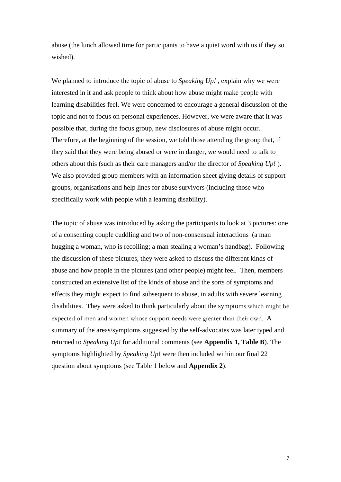abuse (the lunch allowed time for participants to have a quiet word with us if they so wished).

We planned to introduce the topic of abuse to *Speaking Up!* , explain why we were interested in it and ask people to think about how abuse might make people with learning disabilities feel. We were concerned to encourage a general discussion of the topic and not to focus on personal experiences. However, we were aware that it was possible that, during the focus group, new disclosures of abuse might occur. Therefore, at the beginning of the session, we told those attending the group that, if they said that they were being abused or were in danger, we would need to talk to others about this (such as their care managers and/or the director of *Speaking Up!* ). We also provided group members with an information sheet giving details of support groups, organisations and help lines for abuse survivors (including those who specifically work with people with a learning disability).

The topic of abuse was introduced by asking the participants to look at 3 pictures: one of a consenting couple cuddling and two of non-consensual interactions (a man hugging a woman, who is recoiling; a man stealing a woman's handbag). Following the discussion of these pictures, they were asked to discuss the different kinds of abuse and how people in the pictures (and other people) might feel. Then, members constructed an extensive list of the kinds of abuse and the sorts of symptoms and effects they might expect to find subsequent to abuse, in adults with severe learning disabilities. They were asked to think particularly about the symptoms which might be expected of men and women whose support needs were greater than their own. A summary of the areas/symptoms suggested by the self-advocates was later typed and returned to *Speaking Up!* for additional comments (see **Appendix 1, Table B**). The symptoms highlighted by *Speaking Up!* were then included within our final 22 question about symptoms (see Table 1 below and **Appendix 2**).

7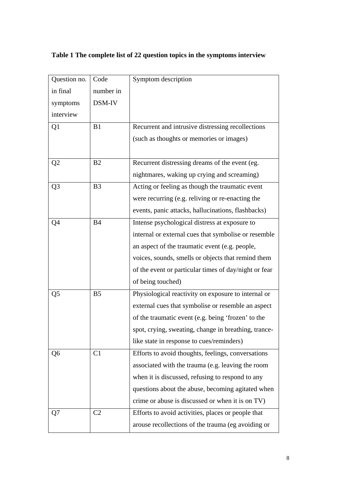| Question no.   | Code           | Symptom description                                   |
|----------------|----------------|-------------------------------------------------------|
| in final       | number in      |                                                       |
| symptoms       | DSM-IV         |                                                       |
| interview      |                |                                                       |
| Q <sub>1</sub> | B1             | Recurrent and intrusive distressing recollections     |
|                |                | (such as thoughts or memories or images)              |
|                |                |                                                       |
| Q <sub>2</sub> | B <sub>2</sub> | Recurrent distressing dreams of the event (eg.        |
|                |                | nightmares, waking up crying and screaming)           |
| Q <sub>3</sub> | B <sub>3</sub> | Acting or feeling as though the traumatic event       |
|                |                | were recurring (e.g. reliving or re-enacting the      |
|                |                | events, panic attacks, hallucinations, flashbacks)    |
| Q4             | <b>B4</b>      | Intense psychological distress at exposure to         |
|                |                | internal or external cues that symbolise or resemble  |
|                |                | an aspect of the traumatic event (e.g. people,        |
|                |                | voices, sounds, smells or objects that remind them    |
|                |                | of the event or particular times of day/night or fear |
|                |                | of being touched)                                     |
| Q <sub>5</sub> | B <sub>5</sub> | Physiological reactivity on exposure to internal or   |
|                |                | external cues that symbolise or resemble an aspect    |
|                |                | of the traumatic event (e.g. being 'frozen' to the    |
|                |                | spot, crying, sweating, change in breathing, trance-  |
|                |                | like state in response to cues/reminders)             |
| Q6             | C <sub>1</sub> | Efforts to avoid thoughts, feelings, conversations    |
|                |                | associated with the trauma (e.g. leaving the room     |
|                |                | when it is discussed, refusing to respond to any      |
|                |                | questions about the abuse, becoming agitated when     |
|                |                | crime or abuse is discussed or when it is on TV)      |
| Q7             | C <sub>2</sub> | Efforts to avoid activities, places or people that    |
|                |                | arouse recollections of the trauma (eg avoiding or    |

# **Table 1 The complete list of 22 question topics in the symptoms interview**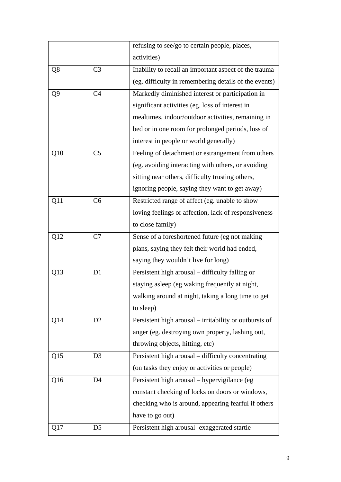|                |                | refusing to see/go to certain people, places,          |
|----------------|----------------|--------------------------------------------------------|
|                |                | activities)                                            |
| Q8             | C <sub>3</sub> | Inability to recall an important aspect of the trauma  |
|                |                | (eg. difficulty in remembering details of the events)  |
| Q <sub>9</sub> | C <sub>4</sub> | Markedly diminished interest or participation in       |
|                |                | significant activities (eg. loss of interest in        |
|                |                | mealtimes, indoor/outdoor activities, remaining in     |
|                |                | bed or in one room for prolonged periods, loss of      |
|                |                | interest in people or world generally)                 |
| Q10            | C <sub>5</sub> | Feeling of detachment or estrangement from others      |
|                |                | (eg. avoiding interacting with others, or avoiding     |
|                |                | sitting near others, difficulty trusting others,       |
|                |                | ignoring people, saying they want to get away)         |
| Q11            | C6             | Restricted range of affect (eg. unable to show         |
|                |                | loving feelings or affection, lack of responsiveness   |
|                |                | to close family)                                       |
| Q12            | C7             | Sense of a foreshortened future (eg not making         |
|                |                | plans, saying they felt their world had ended,         |
|                |                | saying they wouldn't live for long)                    |
| Q13            | D <sub>1</sub> | Persistent high arousal – difficulty falling or        |
|                |                | staying asleep (eg waking frequently at night,         |
|                |                | walking around at night, taking a long time to get     |
|                |                | to sleep)                                              |
| Q14            | D <sub>2</sub> | Persistent high arousal – irritability or outbursts of |
|                |                | anger (eg. destroying own property, lashing out,       |
|                |                | throwing objects, hitting, etc)                        |
| Q15            | D <sub>3</sub> | Persistent high arousal - difficulty concentrating     |
|                |                | (on tasks they enjoy or activities or people)          |
| Q16            | D <sub>4</sub> | Persistent high arousal - hypervigilance (eg           |
|                |                | constant checking of locks on doors or windows,        |
|                |                | checking who is around, appearing fearful if others    |
|                |                | have to go out)                                        |
| Q17            | D <sub>5</sub> | Persistent high arousal- exaggerated startle           |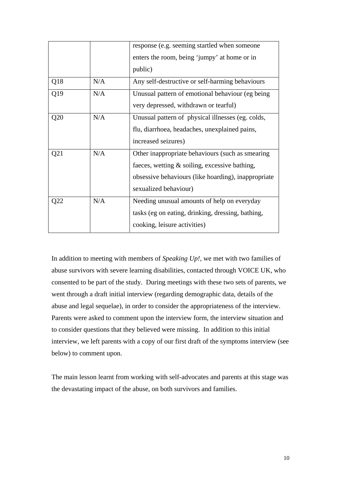|     |     | response (e.g. seeming startled when someone        |
|-----|-----|-----------------------------------------------------|
|     |     | enters the room, being 'jumpy' at home or in        |
|     |     | public)                                             |
| Q18 | N/A | Any self-destructive or self-harming behaviours     |
| Q19 | N/A | Unusual pattern of emotional behaviour (eg being)   |
|     |     | very depressed, withdrawn or tearful)               |
| Q20 | N/A | Unusual pattern of physical illnesses (eg. colds,   |
|     |     | flu, diarrhoea, headaches, unexplained pains,       |
|     |     | increased seizures)                                 |
| Q21 | N/A | Other inappropriate behaviours (such as smearing    |
|     |     | faeces, wetting & soiling, excessive bathing,       |
|     |     | obsessive behaviours (like hoarding), inappropriate |
|     |     | sexualized behaviour)                               |
| Q22 | N/A | Needing unusual amounts of help on everyday         |
|     |     | tasks (eg on eating, drinking, dressing, bathing,   |
|     |     | cooking, leisure activities)                        |

In addition to meeting with members of *Speaking Up!,* we met with two families of abuse survivors with severe learning disabilities, contacted through VOICE UK, who consented to be part of the study. During meetings with these two sets of parents, we went through a draft initial interview (regarding demographic data, details of the abuse and legal sequelae), in order to consider the appropriateness of the interview. Parents were asked to comment upon the interview form, the interview situation and to consider questions that they believed were missing. In addition to this initial interview, we left parents with a copy of our first draft of the symptoms interview (see below) to comment upon.

The main lesson learnt from working with self-advocates and parents at this stage was the devastating impact of the abuse, on both survivors and families.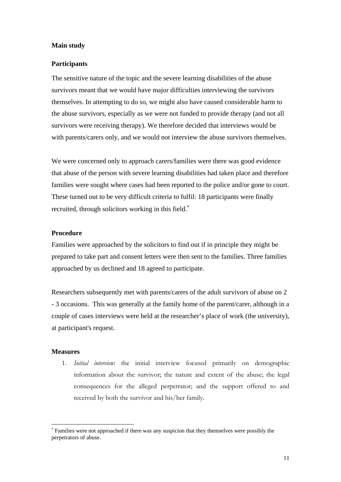#### **Main study**

#### **Participants**

The sensitive nature of the topic and the severe learning disabilities of the abuse survivors meant that we would have major difficulties interviewing the survivors themselves. In attempting to do so, we might also have caused considerable harm to the abuse survivors, especially as we were not funded to provide therapy (and not all survivors were receiving therapy). We therefore decided that interviews would be with parents/carers only, and we would not interview the abuse survivors themselves.

We were concerned only to approach carers/families were there was good evidence that abuse of the person with severe learning disabilities had taken place and therefore families were sought where cases had been reported to the police and/or gone to court. These turned out to be very difficult criteria to fulfil: 18 participants were finally recruited, through solicitors working in this field.<sup>∗</sup>

#### **Procedure**

Families were approached by the solicitors to find out if in principle they might be prepared to take part and consent letters were then sent to the families. Three families approached by us declined and 18 agreed to participate.

Researchers subsequently met with parents/carers of the adult survivors of abuse on 2 - 3 occasions. This was generally at the family home of the parent/carer, although in a couple of cases interviews were held at the researcher's place of work (the university), at participant's request.

#### **Measures**

1

1. *Initial interview*: the initial interview focused primarily on demographic information about the survivor; the nature and extent of the abuse; the legal consequences for the alleged perpetrator; and the support offered to and received by both the survivor and his/her family.

<sup>∗</sup> Families were not approached if there was any suspicion that they themselves were possibly the perpetrators of abuse.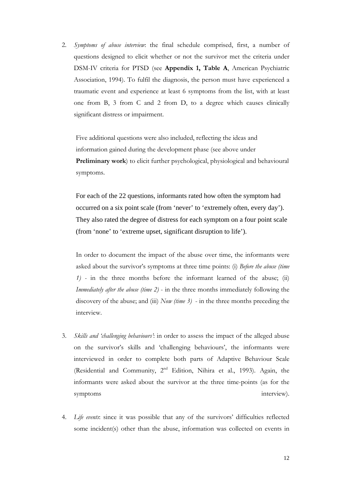2. *Symptoms of abuse interview*: the final schedule comprised, first, a number of questions designed to elicit whether or not the survivor met the criteria under DSM-IV criteria for PTSD (see **Appendix 1, Table A**, American Psychiatric Association, 1994). To fulfil the diagnosis, the person must have experienced a traumatic event and experience at least 6 symptoms from the list, with at least one from B, 3 from C and 2 from D, to a degree which causes clinically significant distress or impairment.

Five additional questions were also included, reflecting the ideas and information gained during the development phase (see above under **Preliminary work**) to elicit further psychological, physiological and behavioural symptoms.

For each of the 22 questions, informants rated how often the symptom had occurred on a six point scale (from 'never' to 'extremely often, every day'). They also rated the degree of distress for each symptom on a four point scale (from 'none' to 'extreme upset, significant disruption to life').

 In order to document the impact of the abuse over time, the informants were asked about the survivor's symptoms at three time points: (i) *Before the abuse (time 1) -* in the three months before the informant learned of the abuse; (ii) *Immediately after the abuse (time 2)* - in the three months immediately following the discovery of the abuse; and (iii) *Now (time 3)* - in the three months preceding the interview.

- 3. *Skills and 'challenging behaviours'*: in order to assess the impact of the alleged abuse on the survivor's skills and 'challenging behaviours', the informants were interviewed in order to complete both parts of Adaptive Behaviour Scale (Residential and Community,  $2^{nd}$  Edition, Nihira et al., 1993). Again, the informants were asked about the survivor at the three time-points (as for the symptoms interview).
- 4. *Life events*: since it was possible that any of the survivors' difficulties reflected some incident(s) other than the abuse, information was collected on events in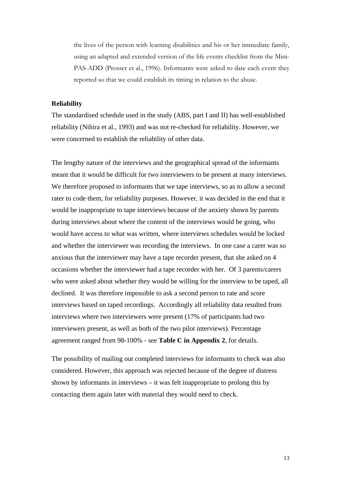the lives of the person with learning disabilities and his or her immediate family, using an adapted and extended version of the life events checklist from the Mini-PAS-ADD (Prosser et al., 1996). Informants were asked to date each event they reported so that we could establish its timing in relation to the abuse.

#### **Reliability**

The standardised schedule used in the study (ABS, part I and II) has well-established reliability (Nihira et al., 1993) and was not re-checked for reliability. However, we were concerned to establish the reliability of other data.

The lengthy nature of the interviews and the geographical spread of the informants meant that it would be difficult for two interviewers to be present at many interviews. We therefore proposed to informants that we tape interviews, so as to allow a second rater to code them, for reliability purposes. However, it was decided in the end that it would be inappropriate to tape interviews because of the anxiety shown by parents during interviews about where the content of the interviews would be going, who would have access to what was written, where interviews schedules would be locked and whether the interviewer was recording the interviews. In one case a carer was so anxious that the interviewer may have a tape recorder present, that she asked on 4 occasions whether the interviewer had a tape recorder with her. Of 3 parents/carers who were asked about whether they would be willing for the interview to be taped, all declined. It was therefore impossible to ask a second person to rate and score interviews based on taped recordings. Accordingly all reliability data resulted from interviews where two interviewers were present (17% of participants had two interviewers present, as well as both of the two pilot interviews). Percentage agreement ranged from 98-100% - see **Table C in Appendix 2**, for details.

The possibility of mailing out completed interviews for informants to check was also considered. However, this approach was rejected because of the degree of distress shown by informants in interviews – it was felt inappropriate to prolong this by contacting them again later with material they would need to check.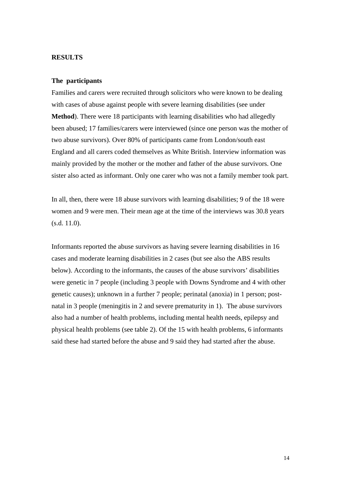#### **RESULTS**

#### **The participants**

Families and carers were recruited through solicitors who were known to be dealing with cases of abuse against people with severe learning disabilities (see under **Method**). There were 18 participants with learning disabilities who had allegedly been abused; 17 families/carers were interviewed (since one person was the mother of two abuse survivors). Over 80% of participants came from London/south east England and all carers coded themselves as White British. Interview information was mainly provided by the mother or the mother and father of the abuse survivors. One sister also acted as informant. Only one carer who was not a family member took part.

In all, then, there were 18 abuse survivors with learning disabilities; 9 of the 18 were women and 9 were men. Their mean age at the time of the interviews was 30.8 years (s.d. 11.0).

Informants reported the abuse survivors as having severe learning disabilities in 16 cases and moderate learning disabilities in 2 cases (but see also the ABS results below). According to the informants, the causes of the abuse survivors' disabilities were genetic in 7 people (including 3 people with Downs Syndrome and 4 with other genetic causes); unknown in a further 7 people; perinatal (anoxia) in 1 person; postnatal in 3 people (meningitis in 2 and severe prematurity in 1). The abuse survivors also had a number of health problems, including mental health needs, epilepsy and physical health problems (see table 2). Of the 15 with health problems, 6 informants said these had started before the abuse and 9 said they had started after the abuse.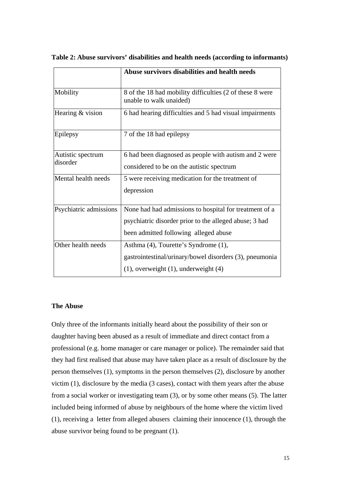|                        | Abuse survivors disabilities and health needs                                       |
|------------------------|-------------------------------------------------------------------------------------|
| Mobility               | 8 of the 18 had mobility difficulties (2 of these 8 were<br>unable to walk unaided) |
| Hearing & vision       | 6 had hearing difficulties and 5 had visual impairments                             |
| Epilepsy               | 7 of the 18 had epilepsy                                                            |
| Autistic spectrum      | 6 had been diagnosed as people with autism and 2 were                               |
| disorder               | considered to be on the autistic spectrum                                           |
| Mental health needs    | 5 were receiving medication for the treatment of                                    |
|                        | depression                                                                          |
| Psychiatric admissions | None had had admissions to hospital for treatment of a                              |
|                        | psychiatric disorder prior to the alleged abuse; 3 had                              |
|                        | been admitted following alleged abuse                                               |
| Other health needs     | Asthma (4), Tourette's Syndrome (1),                                                |
|                        | gastrointestinal/urinary/bowel disorders (3), pneumonia                             |
|                        | $(1)$ , overweight $(1)$ , underweight $(4)$                                        |

**Table 2: Abuse survivors' disabilities and health needs (according to informants)** 

#### **The Abuse**

Only three of the informants initially heard about the possibility of their son or daughter having been abused as a result of immediate and direct contact from a professional (e.g. home manager or care manager or police). The remainder said that they had first realised that abuse may have taken place as a result of disclosure by the person themselves (1), symptoms in the person themselves (2), disclosure by another victim (1), disclosure by the media (3 cases), contact with them years after the abuse from a social worker or investigating team (3), or by some other means (5). The latter included being informed of abuse by neighbours of the home where the victim lived (1), receiving a letter from alleged abusers claiming their innocence (1), through the abuse survivor being found to be pregnant (1).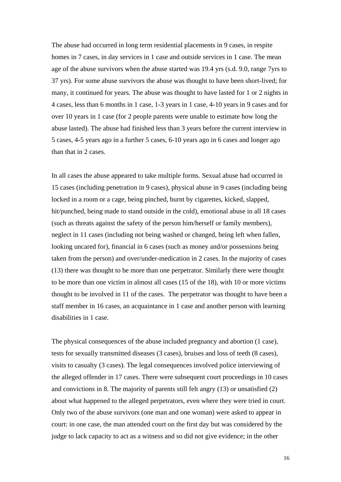The abuse had occurred in long term residential placements in 9 cases, in respite homes in 7 cases, in day services in 1 case and outside services in 1 case. The mean age of the abuse survivors when the abuse started was 19.4 yrs (s.d. 9.0, range 7yrs to 37 yrs). For some abuse survivors the abuse was thought to have been short-lived; for many, it continued for years. The abuse was thought to have lasted for 1 or 2 nights in 4 cases, less than 6 months in 1 case, 1-3 years in 1 case, 4-10 years in 9 cases and for over 10 years in 1 case (for 2 people parents were unable to estimate how long the abuse lasted). The abuse had finished less than 3 years before the current interview in 5 cases, 4-5 years ago in a further 5 cases, 6-10 years ago in 6 cases and longer ago than that in 2 cases.

In all cases the abuse appeared to take multiple forms. Sexual abuse had occurred in 15 cases (including penetration in 9 cases), physical abuse in 9 cases (including being locked in a room or a cage, being pinched, burnt by cigarettes, kicked, slapped, hit/punched, being made to stand outside in the cold), emotional abuse in all 18 cases (such as threats against the safety of the person him/herself or family members), neglect in 11 cases (including not being washed or changed, being left when fallen, looking uncared for), financial in 6 cases (such as money and/or possessions being taken from the person) and over/under-medication in 2 cases. In the majority of cases (13) there was thought to be more than one perpetrator. Similarly there were thought to be more than one victim in almost all cases (15 of the 18), with 10 or more victims thought to be involved in 11 of the cases. The perpetrator was thought to have been a staff member in 16 cases, an acquaintance in 1 case and another person with learning disabilities in 1 case.

The physical consequences of the abuse included pregnancy and abortion (1 case), tests for sexually transmitted diseases (3 cases), bruises and loss of teeth (8 cases), visits to casualty (3 cases). The legal consequences involved police interviewing of the alleged offender in 17 cases. There were subsequent court proceedings in 10 cases and convictions in 8. The majority of parents still felt angry (13) or unsatisfied (2) about what happened to the alleged perpetrators, even where they were tried in court. Only two of the abuse survivors (one man and one woman) were asked to appear in court: in one case, the man attended court on the first day but was considered by the judge to lack capacity to act as a witness and so did not give evidence; in the other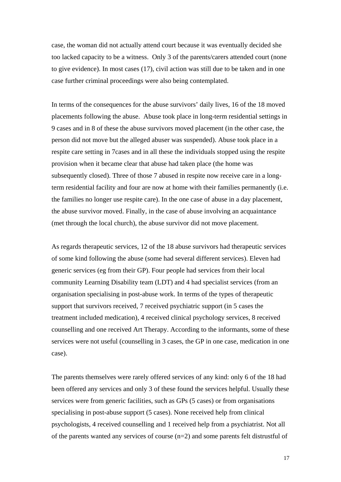case, the woman did not actually attend court because it was eventually decided she too lacked capacity to be a witness. Only 3 of the parents/carers attended court (none to give evidence). In most cases (17), civil action was still due to be taken and in one case further criminal proceedings were also being contemplated.

In terms of the consequences for the abuse survivors' daily lives, 16 of the 18 moved placements following the abuse. Abuse took place in long-term residential settings in 9 cases and in 8 of these the abuse survivors moved placement (in the other case, the person did not move but the alleged abuser was suspended). Abuse took place in a respite care setting in 7cases and in all these the individuals stopped using the respite provision when it became clear that abuse had taken place (the home was subsequently closed). Three of those 7 abused in respite now receive care in a longterm residential facility and four are now at home with their families permanently (i.e. the families no longer use respite care). In the one case of abuse in a day placement, the abuse survivor moved. Finally, in the case of abuse involving an acquaintance (met through the local church), the abuse survivor did not move placement.

As regards therapeutic services, 12 of the 18 abuse survivors had therapeutic services of some kind following the abuse (some had several different services). Eleven had generic services (eg from their GP). Four people had services from their local community Learning Disability team (LDT) and 4 had specialist services (from an organisation specialising in post-abuse work. In terms of the types of therapeutic support that survivors received, 7 received psychiatric support (in 5 cases the treatment included medication), 4 received clinical psychology services, 8 received counselling and one received Art Therapy. According to the informants, some of these services were not useful (counselling in 3 cases, the GP in one case, medication in one case).

The parents themselves were rarely offered services of any kind: only 6 of the 18 had been offered any services and only 3 of these found the services helpful. Usually these services were from generic facilities, such as GPs (5 cases) or from organisations specialising in post-abuse support (5 cases). None received help from clinical psychologists, 4 received counselling and 1 received help from a psychiatrist. Not all of the parents wanted any services of course (n=2) and some parents felt distrustful of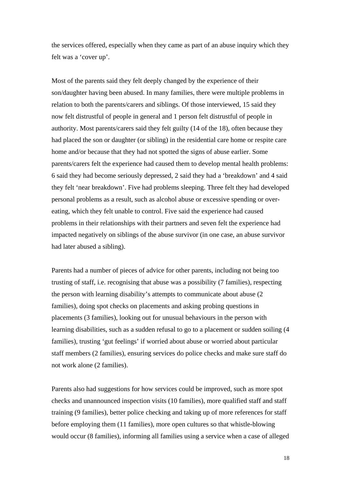the services offered, especially when they came as part of an abuse inquiry which they felt was a 'cover up'.

Most of the parents said they felt deeply changed by the experience of their son/daughter having been abused. In many families, there were multiple problems in relation to both the parents/carers and siblings. Of those interviewed, 15 said they now felt distrustful of people in general and 1 person felt distrustful of people in authority. Most parents/carers said they felt guilty (14 of the 18), often because they had placed the son or daughter (or sibling) in the residential care home or respite care home and/or because that they had not spotted the signs of abuse earlier. Some parents/carers felt the experience had caused them to develop mental health problems: 6 said they had become seriously depressed, 2 said they had a 'breakdown' and 4 said they felt 'near breakdown'. Five had problems sleeping. Three felt they had developed personal problems as a result, such as alcohol abuse or excessive spending or overeating, which they felt unable to control. Five said the experience had caused problems in their relationships with their partners and seven felt the experience had impacted negatively on siblings of the abuse survivor (in one case, an abuse survivor had later abused a sibling).

Parents had a number of pieces of advice for other parents, including not being too trusting of staff, i.e. recognising that abuse was a possibility (7 families), respecting the person with learning disability's attempts to communicate about abuse (2 families), doing spot checks on placements and asking probing questions in placements (3 families), looking out for unusual behaviours in the person with learning disabilities, such as a sudden refusal to go to a placement or sudden soiling (4 families), trusting 'gut feelings' if worried about abuse or worried about particular staff members (2 families), ensuring services do police checks and make sure staff do not work alone (2 families).

Parents also had suggestions for how services could be improved, such as more spot checks and unannounced inspection visits (10 families), more qualified staff and staff training (9 families), better police checking and taking up of more references for staff before employing them (11 families), more open cultures so that whistle-blowing would occur (8 families), informing all families using a service when a case of alleged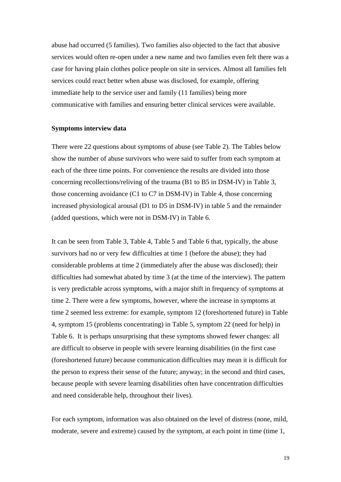abuse had occurred (5 families). Two families also objected to the fact that abusive services would often re-open under a new name and two families even felt there was a case for having plain clothes police people on site in services. Almost all families felt services could react better when abuse was disclosed, for example, offering immediate help to the service user and family (11 families) being more communicative with families and ensuring better clinical services were available.

#### **Symptoms interview data**

There were 22 questions about symptoms of abuse (see Table 2). The Tables below show the number of abuse survivors who were said to suffer from each symptom at each of the three time points. For convenience the results are divided into those concerning recollections/reliving of the trauma (B1 to B5 in DSM-IV) in Table 3, those concerning avoidance (C1 to C7 in DSM-IV) in Table 4, those concerning increased physiological arousal (D1 to D5 in DSM-IV) in table 5 and the remainder (added questions, which were not in DSM-IV) in Table 6.

It can be seen from Table 3, Table 4, Table 5 and Table 6 that, typically, the abuse survivors had no or very few difficulties at time 1 (before the abuse); they had considerable problems at time 2 (immediately after the abuse was disclosed); their difficulties had somewhat abated by time 3 (at the time of the interview). The pattern is very predictable across symptoms, with a major shift in frequency of symptoms at time 2. There were a few symptoms, however, where the increase in symptoms at time 2 seemed less extreme: for example, symptom 12 (foreshortened future) in Table 4, symptom 15 (problems concentrating) in Table 5, symptom 22 (need for help) in Table 6. It is perhaps unsurprising that these symptoms showed fewer changes: all are difficult to observe in people with severe learning disabilities (in the first case (foreshortened future) because communication difficulties may mean it is difficult for the person to express their sense of the future; anyway; in the second and third cases, because people with severe learning disabilities often have concentration difficulties and need considerable help, throughout their lives).

For each symptom, information was also obtained on the level of distress (none, mild, moderate, severe and extreme) caused by the symptom, at each point in time (time 1,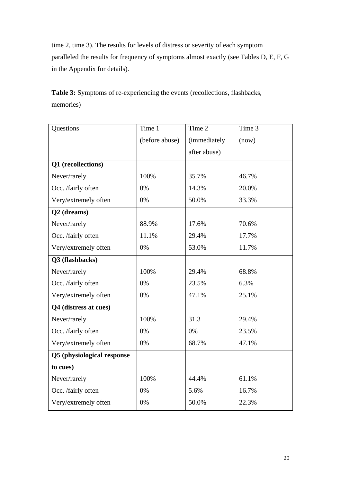time 2, time 3). The results for levels of distress or severity of each symptom paralleled the results for frequency of symptoms almost exactly (see Tables D, E, F, G in the Appendix for details).

**Table 3:** Symptoms of re-experiencing the events (recollections, flashbacks, memories)

| Questions                  | Time 1         | Time 2       | Time 3 |
|----------------------------|----------------|--------------|--------|
|                            | (before abuse) | (immediately | (now)  |
|                            |                | after abuse) |        |
| Q1 (recollections)         |                |              |        |
| Never/rarely               | 100%           | 35.7%        | 46.7%  |
| Occ. /fairly often         | 0%             | 14.3%        | 20.0%  |
| Very/extremely often       | 0%             | 50.0%        | 33.3%  |
| Q2 (dreams)                |                |              |        |
| Never/rarely               | 88.9%          | 17.6%        | 70.6%  |
| Occ. /fairly often         | 11.1%          | 29.4%        | 17.7%  |
| Very/extremely often       | 0%             | 53.0%        | 11.7%  |
| Q3 (flashbacks)            |                |              |        |
| Never/rarely               | 100%           | 29.4%        | 68.8%  |
| Occ. /fairly often         | 0%             | 23.5%        | 6.3%   |
| Very/extremely often       | 0%             | 47.1%        | 25.1%  |
| Q4 (distress at cues)      |                |              |        |
| Never/rarely               | 100%           | 31.3         | 29.4%  |
| Occ. /fairly often         | 0%             | 0%           | 23.5%  |
| Very/extremely often       | 0%             | 68.7%        | 47.1%  |
| Q5 (physiological response |                |              |        |
| to cues)                   |                |              |        |
| Never/rarely               | 100%           | 44.4%        | 61.1%  |
| Occ. /fairly often         | 0%             | 5.6%         | 16.7%  |
| Very/extremely often       | 0%             | 50.0%        | 22.3%  |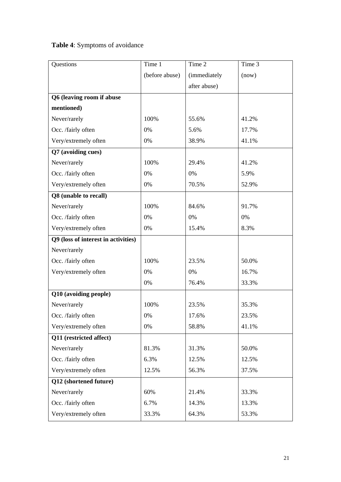# **Table 4**: Symptoms of avoidance

| Questions                           | Time 1         | Time 2              | Time 3 |
|-------------------------------------|----------------|---------------------|--------|
|                                     | (before abuse) | <i>(immediately</i> | (now)  |
|                                     |                | after abuse)        |        |
| Q6 (leaving room if abuse           |                |                     |        |
| mentioned)                          |                |                     |        |
| Never/rarely                        | 100%           | 55.6%               | 41.2%  |
| Occ. /fairly often                  | 0%             | 5.6%                | 17.7%  |
| Very/extremely often                | 0%             | 38.9%               | 41.1%  |
| Q7 (avoiding cues)                  |                |                     |        |
| Never/rarely                        | 100%           | 29.4%               | 41.2%  |
| Occ. /fairly often                  | 0%             | 0%                  | 5.9%   |
| Very/extremely often                | 0%             | 70.5%               | 52.9%  |
| Q8 (unable to recall)               |                |                     |        |
| Never/rarely                        | 100%           | 84.6%               | 91.7%  |
| Occ. /fairly often                  | 0%             | 0%                  | 0%     |
| Very/extremely often                | 0%             | 15.4%               | 8.3%   |
| Q9 (loss of interest in activities) |                |                     |        |
| Never/rarely                        |                |                     |        |
| Occ. /fairly often                  | 100%           | 23.5%               | 50.0%  |
| Very/extremely often                | 0%             | 0%                  | 16.7%  |
|                                     | 0%             | 76.4%               | 33.3%  |
| Q10 (avoiding people)               |                |                     |        |
| Never/rarely                        | 100%           | 23.5%               | 35.3%  |
| Occ. /fairly often                  | $0\%$          | 17.6%               | 23.5%  |
| Very/extremely often                | 0%             | 58.8%               | 41.1%  |
| Q11 (restricted affect)             |                |                     |        |
| Never/rarely                        | 81.3%          | 31.3%               | 50.0%  |
| Occ. /fairly often                  | 6.3%           | 12.5%               | 12.5%  |
| Very/extremely often                | 12.5%          | 56.3%               | 37.5%  |
| Q12 (shortened future)              |                |                     |        |
| Never/rarely                        | 60%            | 21.4%               | 33.3%  |
| Occ. /fairly often                  | 6.7%           | 14.3%               | 13.3%  |
| Very/extremely often                | 33.3%          | 64.3%               | 53.3%  |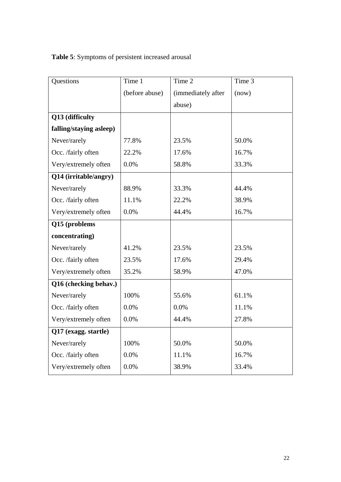**Table 5**: Symptoms of persistent increased arousal

| Questions               | Time 1         | Time 2             | Time 3 |
|-------------------------|----------------|--------------------|--------|
|                         | (before abuse) | (immediately after | (now)  |
|                         |                | abuse)             |        |
| Q13 (difficulty         |                |                    |        |
| falling/staying asleep) |                |                    |        |
| Never/rarely            | 77.8%          | 23.5%              | 50.0%  |
| Occ. /fairly often      | 22.2%          | 17.6%              | 16.7%  |
| Very/extremely often    | 0.0%           | 58.8%              | 33.3%  |
| Q14 (irritable/angry)   |                |                    |        |
| Never/rarely            | 88.9%          | 33.3%              | 44.4%  |
| Occ. /fairly often      | 11.1%          | 22.2%              | 38.9%  |
| Very/extremely often    | 0.0%           | 44.4%              | 16.7%  |
| Q15 (problems           |                |                    |        |
| concentrating)          |                |                    |        |
| Never/rarely            | 41.2%          | 23.5%              | 23.5%  |
| Occ. /fairly often      | 23.5%          | 17.6%              | 29.4%  |
| Very/extremely often    | 35.2%          | 58.9%              | 47.0%  |
| Q16 (checking behav.)   |                |                    |        |
| Never/rarely            | 100%           | 55.6%              | 61.1%  |
| Occ. /fairly often      | 0.0%           | 0.0%               | 11.1%  |
| Very/extremely often    | 0.0%           | 44.4%              | 27.8%  |
| Q17 (exagg. startle)    |                |                    |        |
| Never/rarely            | 100%           | 50.0%              | 50.0%  |
| Occ. /fairly often      | 0.0%           | 11.1%              | 16.7%  |
| Very/extremely often    | 0.0%           | 38.9%              | 33.4%  |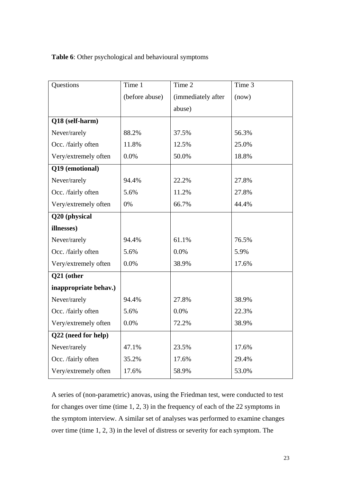**Table 6**: Other psychological and behavioural symptoms

| Questions             | Time 1         | Time 2             | Time 3 |
|-----------------------|----------------|--------------------|--------|
|                       | (before abuse) | (immediately after | (now)  |
|                       |                | abuse)             |        |
| Q18 (self-harm)       |                |                    |        |
| Never/rarely          | 88.2%          | 37.5%              | 56.3%  |
| Occ. /fairly often    | 11.8%          | 12.5%              | 25.0%  |
| Very/extremely often  | 0.0%           | 50.0%              | 18.8%  |
| Q19 (emotional)       |                |                    |        |
| Never/rarely          | 94.4%          | 22.2%              | 27.8%  |
| Occ. /fairly often    | 5.6%           | 11.2%              | 27.8%  |
| Very/extremely often  | 0%             | 66.7%              | 44.4%  |
| Q20 (physical         |                |                    |        |
| illnesses)            |                |                    |        |
| Never/rarely          | 94.4%          | 61.1%              | 76.5%  |
| Occ. /fairly often    | 5.6%           | 0.0%               | 5.9%   |
| Very/extremely often  | 0.0%           | 38.9%              | 17.6%  |
| Q21 (other            |                |                    |        |
| inappropriate behav.) |                |                    |        |
| Never/rarely          | 94.4%          | 27.8%              | 38.9%  |
| Occ. /fairly often    | 5.6%           | 0.0%               | 22.3%  |
| Very/extremely often  | 0.0%           | 72.2%              | 38.9%  |
| Q22 (need for help)   |                |                    |        |
| Never/rarely          | 47.1%          | 23.5%              | 17.6%  |
| Occ. /fairly often    | 35.2%          | 17.6%              | 29.4%  |
| Very/extremely often  | 17.6%          | 58.9%              | 53.0%  |

A series of (non-parametric) anovas, using the Friedman test, were conducted to test for changes over time (time 1, 2, 3) in the frequency of each of the 22 symptoms in the symptom interview. A similar set of analyses was performed to examine changes over time (time 1, 2, 3) in the level of distress or severity for each symptom. The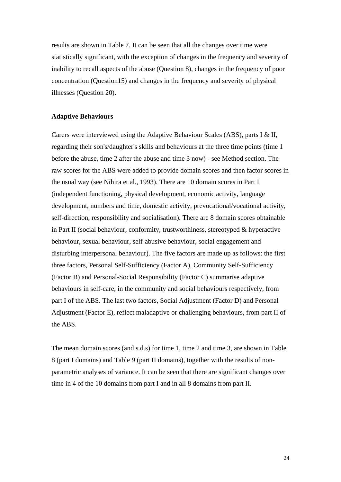results are shown in Table 7. It can be seen that all the changes over time were statistically significant, with the exception of changes in the frequency and severity of inability to recall aspects of the abuse (Question 8), changes in the frequency of poor concentration (Question15) and changes in the frequency and severity of physical illnesses (Question 20).

#### **Adaptive Behaviours**

Carers were interviewed using the Adaptive Behaviour Scales (ABS), parts I & II, regarding their son's/daughter's skills and behaviours at the three time points (time 1 before the abuse, time 2 after the abuse and time 3 now) - see Method section. The raw scores for the ABS were added to provide domain scores and then factor scores in the usual way (see Nihira et al., 1993). There are 10 domain scores in Part I (independent functioning, physical development, economic activity, language development, numbers and time, domestic activity, prevocational/vocational activity, self-direction, responsibility and socialisation). There are 8 domain scores obtainable in Part II (social behaviour, conformity, trustworthiness, stereotyped & hyperactive behaviour, sexual behaviour, self-abusive behaviour, social engagement and disturbing interpersonal behaviour). The five factors are made up as follows: the first three factors, Personal Self-Sufficiency (Factor A), Community Self-Sufficiency (Factor B) and Personal-Social Responsibility (Factor C) summarise adaptive behaviours in self-care, in the community and social behaviours respectively, from part I of the ABS. The last two factors, Social Adjustment (Factor D) and Personal Adjustment (Factor E), reflect maladaptive or challenging behaviours, from part II of the ABS.

The mean domain scores (and s.d.s) for time 1, time 2 and time 3, are shown in Table 8 (part I domains) and Table 9 (part II domains), together with the results of nonparametric analyses of variance. It can be seen that there are significant changes over time in 4 of the 10 domains from part I and in all 8 domains from part II.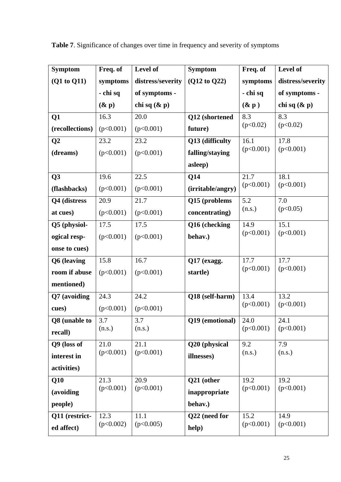| <b>Symptom</b>  | Freq. of  | Level of          | <b>Symptom</b>    | Freq. of  | Level of          |
|-----------------|-----------|-------------------|-------------------|-----------|-------------------|
| (Q1 to Q11)     | symptoms  | distress/severity | (Q12 to Q22)      | symptoms  | distress/severity |
|                 | - chi sq  | of symptoms -     |                   | - chi sq  | of symptoms -     |
|                 | $(\& p)$  | chi sq $(\& p)$   |                   | $(\& p)$  | chi sq $(\& p)$   |
| Q1              | 16.3      | 20.0              | Q12 (shortened    | 8.3       | 8.3               |
| (recollections) | (p<0.001) | (p<0.001)         | future)           | (p<0.02)  | (p<0.02)          |
| Q <sub>2</sub>  | 23.2      | 23.2              | Q13 (difficulty   | 16.1      | 17.8              |
| (dreams)        | (p<0.001) | (p<0.001)         | falling/staying   | (p<0.001) | (p<0.001)         |
|                 |           |                   | asleep)           |           |                   |
| Q3              | 19.6      | 22.5              | Q14               | 21.7      | 18.1              |
| (flashbacks)    | (p<0.001) | (p<0.001)         | (irritable/angry) | (p<0.001) | (p<0.001)         |
| Q4 (distress    | 20.9      | 21.7              | Q15 (problems     | 5.2       | 7.0               |
| at cues)        | (p<0.001) | (p<0.001)         | concentrating)    | (n.s.)    | (p<0.05)          |
| Q5 (physiol-    | 17.5      | 17.5              | Q16 (checking     | 14.9      | 15.1              |
| ogical resp-    | (p<0.001) | (p<0.001)         | behav.)           | (p<0.001) | (p<0.001)         |
| onse to cues)   |           |                   |                   |           |                   |
| Q6 (leaving     | 15.8      | 16.7              | Q17 (exagg.       | 17.7      | 17.7              |
| room if abuse   | (p<0.001) | (p<0.001)         | startle)          | (p<0.001) | (p<0.001)         |
| mentioned)      |           |                   |                   |           |                   |
| Q7 (avoiding    | 24.3      | 24.2              | Q18 (self-harm)   | 13.4      | 13.2              |
| cues)           | (p<0.001) | (p<0.001)         |                   | (p<0.001) | (p<0.001)         |
| Q8 (unable to   | 3.7       | 3.7               | Q19 (emotional)   | 24.0      | 24.1              |
| recall)         | (n.s.)    | (n.s.)            |                   | (p<0.001) | (p<0.001)         |
| Q9 (loss of     | 21.0      | 21.1              | Q20 (physical     | 9.2       | 7.9               |
| interest in     | (p<0.001) | (p<0.001)         | illnesses)        | (n.s.)    | (n.s.)            |
| activities)     |           |                   |                   |           |                   |
| Q10             | 21.3      | 20.9              | Q21 (other        | 19.2      | 19.2              |
| (avoiding       | (p<0.001) | (p<0.001)         | inappropriate     | (p<0.001) | (p<0.001)         |
| people)         |           |                   | behav.)           |           |                   |
| Q11 (restrict-  | 12.3      | 11.1              | Q22 (need for     | 15.2      | 14.9              |
| ed affect)      | (p<0.002) | (p<0.005)         | help)             | (p<0.001) | (p<0.001)         |

**Table 7**. Significance of changes over time in frequency and severity of symptoms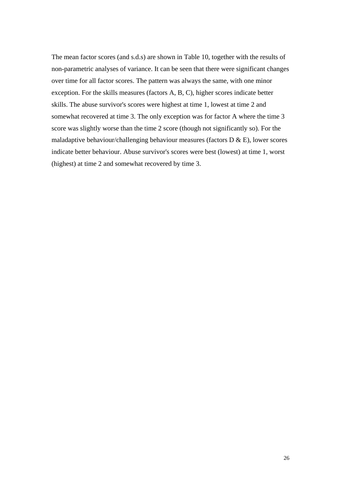The mean factor scores (and s.d.s) are shown in Table 10, together with the results of non-parametric analyses of variance. It can be seen that there were significant changes over time for all factor scores. The pattern was always the same, with one minor exception. For the skills measures (factors A, B, C), higher scores indicate better skills. The abuse survivor's scores were highest at time 1, lowest at time 2 and somewhat recovered at time 3. The only exception was for factor A where the time 3 score was slightly worse than the time 2 score (though not significantly so). For the maladaptive behaviour/challenging behaviour measures (factors  $D \& E$ ), lower scores indicate better behaviour. Abuse survivor's scores were best (lowest) at time 1, worst (highest) at time 2 and somewhat recovered by time 3.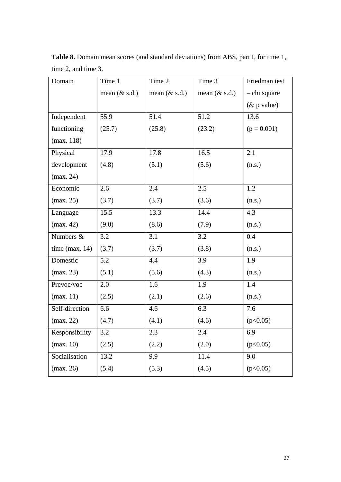| Domain            | Time 1           | Time 2           | Time 3           | Friedman test  |
|-------------------|------------------|------------------|------------------|----------------|
|                   | mean $(\&$ s.d.) | mean $(\&$ s.d.) | mean $(\&$ s.d.) | - chi square   |
|                   |                  |                  |                  | $(\&$ p value) |
| Independent       | 55.9             | 51.4             | 51.2             | 13.6           |
| functioning       | (25.7)           | (25.8)           | (23.2)           | $(p = 0.001)$  |
| (max. 118)        |                  |                  |                  |                |
| Physical          | 17.9             | 17.8             | 16.5             | 2.1            |
| development       | (4.8)            | (5.1)            | (5.6)            | (n.s.)         |
| (max. 24)         |                  |                  |                  |                |
| Economic          | 2.6              | 2.4              | 2.5              | 1.2            |
| (max. 25)         | (3.7)            | (3.7)            | (3.6)            | (n.s.)         |
| Language          | 15.5             | 13.3             | 14.4             | 4.3            |
| (max. 42)         | (9.0)            | (8.6)            | (7.9)            | (n.s.)         |
| Numbers $\&$      | 3.2              | 3.1              | 3.2              | 0.4            |
| time (max. $14$ ) | (3.7)            | (3.7)            | (3.8)            | (n.s.)         |
| Domestic          | 5.2              | 4.4              | 3.9              | 1.9            |
| (max. 23)         | (5.1)            | (5.6)            | (4.3)            | (n.s.)         |
| Prevoc/voc        | 2.0              | 1.6              | 1.9              | 1.4            |
| (max. 11)         | (2.5)            | (2.1)            | (2.6)            | (n.s.)         |
| Self-direction    | 6.6              | 4.6              | 6.3              | 7.6            |
| (max. 22)         | (4.7)            | (4.1)            | (4.6)            | (p<0.05)       |
| Responsibility    | 3.2              | 2.3              | 2.4              | 6.9            |
| (max. 10)         | (2.5)            | (2.2)            | (2.0)            | (p<0.05)       |
| Socialisation     | 13.2             | 9.9              | 11.4             | 9.0            |
| (max. 26)         | (5.4)            | (5.3)            | (4.5)            | (p<0.05)       |

**Table 8.** Domain mean scores (and standard deviations) from ABS, part I, for time 1, time 2, and time 3.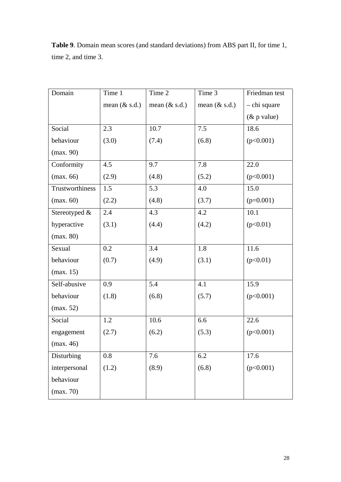| Domain          | Time 1           | Time 2           | Time 3           | Friedman test  |
|-----------------|------------------|------------------|------------------|----------------|
|                 | mean $(\&$ s.d.) | mean $(\&$ s.d.) | mean $(\&$ s.d.) | - chi square   |
|                 |                  |                  |                  | $(\&$ p value) |
| Social          | 2.3              | 10.7             | 7.5              | 18.6           |
| behaviour       | (3.0)            | (7.4)            | (6.8)            | (p<0.001)      |
| (max. 90)       |                  |                  |                  |                |
| Conformity      | 4.5              | 9.7              | 7.8              | 22.0           |
| (max. 66)       | (2.9)            | (4.8)            | (5.2)            | (p<0.001)      |
| Trustworthiness | 1.5              | 5.3              | 4.0              | 15.0           |
| (max. 60)       | (2.2)            | (4.8)            | (3.7)            | $(p=0.001)$    |
| Stereotyped &   | 2.4              | 4.3              | 4.2              | 10.1           |
| hyperactive     | (3.1)            | (4.4)            | (4.2)            | (p<0.01)       |
| (max. 80)       |                  |                  |                  |                |
| Sexual          | 0.2              | 3.4              | 1.8              | 11.6           |
| behaviour       | (0.7)            | (4.9)            | (3.1)            | (p<0.01)       |
| (max. 15)       |                  |                  |                  |                |
| Self-abusive    | 0.9              | 5.4              | 4.1              | 15.9           |
| behaviour       | (1.8)            | (6.8)            | (5.7)            | (p<0.001)      |
| (max. 52)       |                  |                  |                  |                |
| Social          | 1.2              | 10.6             | 6.6              | 22.6           |
| engagement      | (2.7)            | (6.2)            | (5.3)            | (p<0.001)      |
| (max. 46)       |                  |                  |                  |                |
| Disturbing      | 0.8              | 7.6              | 6.2              | 17.6           |
| interpersonal   | (1.2)            | (8.9)            | (6.8)            | (p<0.001)      |
| behaviour       |                  |                  |                  |                |
| (max. 70)       |                  |                  |                  |                |

**Table 9**. Domain mean scores (and standard deviations) from ABS part II, for time 1, time 2, and time 3.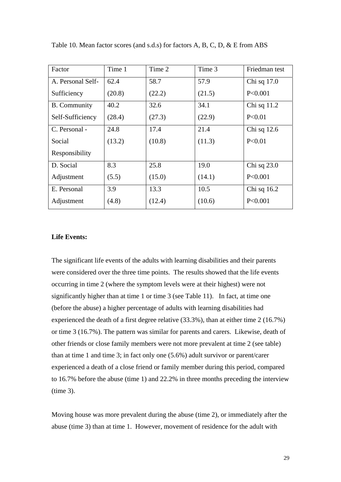| Factor              | Time 1 | Time 2 | Time 3 | Friedman test |
|---------------------|--------|--------|--------|---------------|
| A. Personal Self-   | 62.4   | 58.7   | 57.9   | Chi sq 17.0   |
| Sufficiency         | (20.8) | (22.2) | (21.5) | P<0.001       |
| <b>B.</b> Community | 40.2   | 32.6   | 34.1   | Chi sq 11.2   |
| Self-Sufficiency    | (28.4) | (27.3) | (22.9) | P<0.01        |
| C. Personal -       | 24.8   | 17.4   | 21.4   | Chi sq 12.6   |
| Social              | (13.2) | (10.8) | (11.3) | P<0.01        |
| Responsibility      |        |        |        |               |
| D. Social           | 8.3    | 25.8   | 19.0   | Chi sq $23.0$ |
| Adjustment          | (5.5)  | (15.0) | (14.1) | P<0.001       |
| E. Personal         | 3.9    | 13.3   | 10.5   | Chi sq $16.2$ |
| Adjustment          | (4.8)  | (12.4) | (10.6) | P<0.001       |

Table 10. Mean factor scores (and s.d.s) for factors A, B, C, D, & E from ABS

#### **Life Events:**

The significant life events of the adults with learning disabilities and their parents were considered over the three time points. The results showed that the life events occurring in time 2 (where the symptom levels were at their highest) were not significantly higher than at time 1 or time 3 (see Table 11). In fact, at time one (before the abuse) a higher percentage of adults with learning disabilities had experienced the death of a first degree relative (33.3%), than at either time 2 (16.7%) or time 3 (16.7%). The pattern was similar for parents and carers. Likewise, death of other friends or close family members were not more prevalent at time 2 (see table) than at time 1 and time 3; in fact only one (5.6%) adult survivor or parent/carer experienced a death of a close friend or family member during this period, compared to 16.7% before the abuse (time 1) and 22.2% in three months preceding the interview (time 3).

Moving house was more prevalent during the abuse (time 2), or immediately after the abuse (time 3) than at time 1. However, movement of residence for the adult with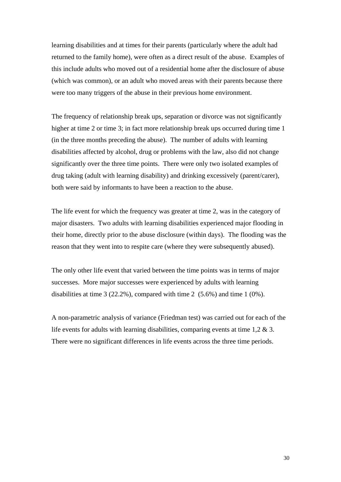learning disabilities and at times for their parents (particularly where the adult had returned to the family home), were often as a direct result of the abuse. Examples of this include adults who moved out of a residential home after the disclosure of abuse (which was common), or an adult who moved areas with their parents because there were too many triggers of the abuse in their previous home environment.

The frequency of relationship break ups, separation or divorce was not significantly higher at time 2 or time 3; in fact more relationship break ups occurred during time 1 (in the three months preceding the abuse). The number of adults with learning disabilities affected by alcohol, drug or problems with the law, also did not change significantly over the three time points. There were only two isolated examples of drug taking (adult with learning disability) and drinking excessively (parent/carer), both were said by informants to have been a reaction to the abuse.

The life event for which the frequency was greater at time 2, was in the category of major disasters. Two adults with learning disabilities experienced major flooding in their home, directly prior to the abuse disclosure (within days). The flooding was the reason that they went into to respite care (where they were subsequently abused).

The only other life event that varied between the time points was in terms of major successes. More major successes were experienced by adults with learning disabilities at time 3 (22.2%), compared with time 2 (5.6%) and time 1 (0%).

A non-parametric analysis of variance (Friedman test) was carried out for each of the life events for adults with learning disabilities, comparing events at time 1,2 & 3. There were no significant differences in life events across the three time periods.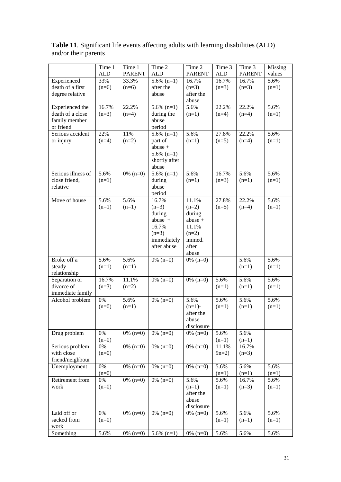|                    | Time 1     | Time 1        | Time 2                 | Time 2                 | Time 3     | Time 3        | <b>Missing</b> |
|--------------------|------------|---------------|------------------------|------------------------|------------|---------------|----------------|
|                    | <b>ALD</b> | <b>PARENT</b> | <b>ALD</b>             | <b>PARENT</b>          | <b>ALD</b> | <b>PARENT</b> | values         |
| Experienced        | 33%        | 33.3%         | $5.6\%$ (n=1)          | 16.7%                  | 16.7%      | 16.7%         | 5.6%           |
| death of a first   | $(n=6)$    | $(n=6)$       | after the              | $(n=3)$                | $(n=3)$    | $(n=3)$       | $(n=1)$        |
| degree relative    |            |               | abuse                  | after the              |            |               |                |
|                    |            |               |                        | abuse                  |            |               |                |
| Experienced the    | 16.7%      | 22.2%         | $5.6\%$ (n=1)          | 5.6%                   | 22.2%      | 22.2%         | 5.6%           |
| death of a close   | $(n=3)$    | $(n=4)$       | during the             | $(n=1)$                | $(n=4)$    | $(n=4)$       | $(n=1)$        |
| family member      |            |               | abuse                  |                        |            |               |                |
| or friend          |            |               | period                 |                        |            |               |                |
| Serious accident   | 22%        | 11%           | $5.6\%$ (n=1)          | 5.6%                   | 27.8%      | 22.2%         | 5.6%           |
| or injury          | $(n=4)$    | $(n=2)$       | part of                | $(n=1)$                | $(n=5)$    | $(n=4)$       | $(n=1)$        |
|                    |            |               | $abuse +$              |                        |            |               |                |
|                    |            |               | $5.6\%$ (n=1)          |                        |            |               |                |
|                    |            |               | shortly after<br>abuse |                        |            |               |                |
| Serious illness of | 5.6%       | $0\%$ (n=0)   | $5.6\%$ (n=1)          | 5.6%                   | 16.7%      | 5.6%          | 5.6%           |
| close friend,      | $(n=1)$    |               | during                 | $(n=1)$                | $(n=3)$    | $(n=1)$       | $(n=1)$        |
| relative           |            |               | abuse                  |                        |            |               |                |
|                    |            |               | period                 |                        |            |               |                |
| Move of house      | 5.6%       | 5.6%          | 16.7%                  | 11.1%                  | 27.8%      | 22.2%         | 5.6%           |
|                    | $(n=1)$    | $(n=1)$       | $(n=3)$                | $(n=2)$                | $(n=5)$    | $(n=4)$       | $(n=1)$        |
|                    |            |               | during                 | during                 |            |               |                |
|                    |            |               | abuse $+$              | $abuse +$              |            |               |                |
|                    |            |               | 16.7%                  | 11.1%                  |            |               |                |
|                    |            |               | $(n=3)$                | $(n=2)$                |            |               |                |
|                    |            |               | immediately            | immed.                 |            |               |                |
|                    |            |               | after abuse            | after                  |            |               |                |
|                    |            |               |                        | abuse                  |            |               |                |
| Broke off a        | 5.6%       | 5.6%          | $0\%$ (n=0)            | $0\%$ (n=0)            |            | 5.6%          | 5.6%           |
| steady             | $(n=1)$    | $(n=1)$       |                        |                        |            | $(n=1)$       | $(n=1)$        |
| relationship       |            |               |                        |                        |            |               |                |
| Separation or      | 16.7%      | 11.1%         | $0\%$ (n=0)            | $0\%$ (n=0)            | 5.6%       | 5.6%          | 5.6%           |
| divorce of         | $(n=3)$    | $(n=2)$       |                        |                        | $(n=1)$    | $(n=1)$       | $(n=1)$        |
| immediate family   |            | 5.6%          |                        |                        |            |               |                |
| Alcohol problem    | 0%         |               | $0\%$ (n=0)            | 5.6%                   | 5.6%       | 5.6%          | 5.6%           |
|                    | $(n=0)$    | $(n=1)$       |                        | $(n=1)$ -<br>after the | $(n=1)$    | $(n=1)$       | $(n=1)$        |
|                    |            |               |                        | abuse                  |            |               |                |
|                    |            |               |                        | disclosure             |            |               |                |
| Drug problem       | 0%         | $0\%$ (n=0)   | $0\%$ (n=0)            | $0\%$ (n=0)            | 5.6%       | 5.6%          |                |
|                    | $(n=0)$    |               |                        |                        | $(n=1)$    | $(n=1)$       |                |
| Serious problem    | 0%         | $0\%$ (n=0)   | $0\%$ (n=0)            | $0\%$ (n=0)            | 11.1%      | 16.7%         |                |
| with close         | $(n=0)$    |               |                        |                        | $9n=2$ )   | $(n=3)$       |                |
| friend/neighbour   |            |               |                        |                        |            |               |                |
| Unemployment       | $0\%$      | $0\%$ (n=0)   | $0\%$ (n=0)            | $0\%$ (n=0)            | 5.6%       | 5.6%          | 5.6%           |
|                    | $(n=0)$    |               |                        |                        | $(n=1)$    | $(n=1)$       | $(n=1)$        |
| Retirement from    | 0%         | $0\%$ (n=0)   | $0\%$ (n=0)            | 5.6%                   | 5.6%       | 16.7%         | 5.6%           |
| work               | $(n=0)$    |               |                        | $(n=1)$                | $(n=1)$    | $(n=3)$       | $(n=1)$        |
|                    |            |               |                        | after the              |            |               |                |
|                    |            |               |                        | abuse                  |            |               |                |
|                    |            |               |                        | disclosure             |            |               |                |
| Laid off or        | $0\%$      | $0\%$ (n=0)   | $0\%$ (n=0)            | $0\%$ (n=0)            | 5.6%       | 5.6%          | 5.6%           |
| sacked from        | $(n=0)$    |               |                        |                        | $(n=1)$    | $(n=1)$       | $(n=1)$        |
| work               |            |               |                        |                        |            |               |                |
| Something          | 5.6%       | $0\%$ (n=0)   | $5.6\%$ (n=1)          | $0\%$ (n=0)            | 5.6%       | 5.6%          | 5.6%           |

**Table 11**. Significant life events affecting adults with learning disabilities (ALD) and/or their parents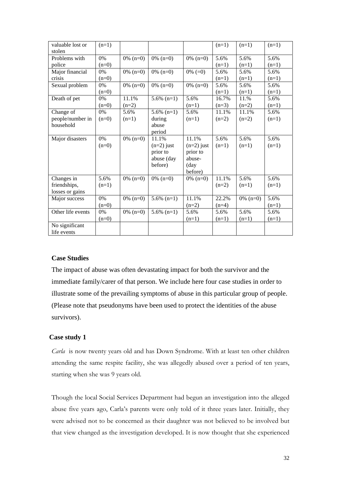| valuable lost or  | $(n=1)$ |             |               |              | $(n=1)$ | $(n=1)$     | $(n=1)$ |
|-------------------|---------|-------------|---------------|--------------|---------|-------------|---------|
| stolen            |         |             |               |              |         |             |         |
| Problems with     | $0\%$   | $0\%$ (n=0) | $0\%$ (n=0)   | $0\%$ (n=0)  | 5.6%    | 5.6%        | 5.6%    |
| police            | $(n=0)$ |             |               |              | $(n=1)$ | $(n=1)$     | $(n=1)$ |
| Major financial   | $0\%$   | $0\%$ (n=0) | $0\%$ (n=0)   | $0\% (=0)$   | 5.6%    | 5.6%        | 5.6%    |
| crisis            | $(n=0)$ |             |               |              | $(n=1)$ | $(n=1)$     | $(n=1)$ |
| Sexual problem    | $0\%$   | $0\%$ (n=0) | $0\%$ (n=0)   | $0\%$ (n=0)  | 5.6%    | 5.6%        | 5.6%    |
|                   | $(n=0)$ |             |               |              | $(n=1)$ | $(n=1)$     | $(n=1)$ |
| Death of pet      | $0\%$   | 11.1%       | $5.6\%$ (n=1) | 5.6%         | 16.7%   | 11.%        | 5.6%    |
|                   | $(n=0)$ | $(n=2)$     |               | $(n=1)$      | $(n=3)$ | $(n=2)$     | $(n=1)$ |
| Change of         | 0%      | 5.6%        | $5.6\%$ (n=1) | 5.6%         | 11.1%   | 11.1%       | 5.6%    |
| people/number in  | $(n=0)$ | $(n=1)$     | during        | $(n=1)$      | $(n=2)$ | $(n=2)$     | $(n=1)$ |
| household         |         |             | abuse         |              |         |             |         |
|                   |         |             | period        |              |         |             |         |
| Major disasters   | 0%      | $0\%$ (n=0) | 11.1%         | 11.1%        | 5.6%    | 5.6%        | 5.6%    |
|                   | $(n=0)$ |             | $(n=2)$ just  | $(n=2)$ just | $(n=1)$ | $(n=1)$     | $(n=1)$ |
|                   |         |             | prior to      | prior to     |         |             |         |
|                   |         |             | abuse (day    | abuse-       |         |             |         |
|                   |         |             | before)       | (day         |         |             |         |
|                   |         |             |               | before)      |         |             |         |
| Changes in        | 5.6%    | $0\%$ (n=0) | $0\%$ (n=0)   | $0\%$ (n=0)  | 11.1%   | 5.6%        | 5.6%    |
| friendships,      | $(n=1)$ |             |               |              | $(n=2)$ | $(n=1)$     | $(n=1)$ |
| losses or gains   |         |             |               |              |         |             |         |
| Major success     | $0\%$   | $0\%$ (n=0) | $5.6\%$ (n=1) | 11.1%        | 22.2%   | $0\%$ (n=0) | 5.6%    |
|                   | $(n=0)$ |             |               | $(n=2)$      | $(n=4)$ |             | $(n=1)$ |
| Other life events | $0\%$   | $0\%$ (n=0) | $5.6\%$ (n=1) | 5.6%         | 5.6%    | 5.6%        | 5.6%    |
|                   | $(n=0)$ |             |               | $(n=1)$      | $(n=1)$ | $(n=1)$     | $(n=1)$ |
| No significant    |         |             |               |              |         |             |         |
| life events       |         |             |               |              |         |             |         |

#### **Case Studies**

The impact of abuse was often devastating impact for both the survivor and the immediate family/carer of that person. We include here four case studies in order to illustrate some of the prevailing symptoms of abuse in this particular group of people. (Please note that pseudonyms have been used to protect the identities of the abuse survivors).

#### **Case study 1**

*Carla* is now twenty years old and has Down Syndrome. With at least ten other children attending the same respite facility, she was allegedly abused over a period of ten years, starting when she was 9 years old.

Though the local Social Services Department had begun an investigation into the alleged abuse five years ago, Carla's parents were only told of it three years later. Initially, they were advised not to be concerned as their daughter was not believed to be involved but that view changed as the investigation developed. It is now thought that she experienced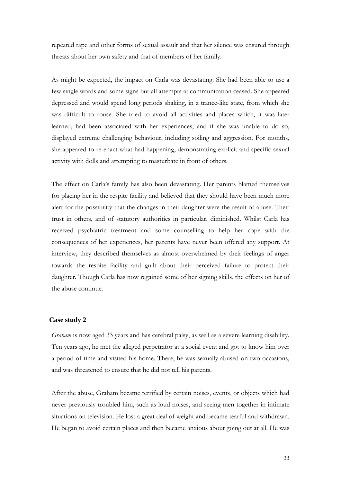repeated rape and other forms of sexual assault and that her silence was ensured through threats about her own safety and that of members of her family.

As might be expected, the impact on Carla was devastating. She had been able to use a few single words and some signs but all attempts at communication ceased. She appeared depressed and would spend long periods shaking, in a trance-like state, from which she was difficult to rouse. She tried to avoid all activities and places which, it was later learned, had been associated with her experiences, and if she was unable to do so, displayed extreme challenging behaviour, including soiling and aggression. For months, she appeared to re-enact what had happening, demonstrating explicit and specific sexual activity with dolls and attempting to masturbate in front of others.

The effect on Carla's family has also been devastating. Her parents blamed themselves for placing her in the respite facility and believed that they should have been much more alert for the possibility that the changes in their daughter were the result of abuse. Their trust in others, and of statutory authorities in particular, diminished. Whilst Carla has received psychiatric treatment and some counselling to help her cope with the consequences of her experiences, her parents have never been offered any support. At interview, they described themselves as almost overwhelmed by their feelings of anger towards the respite facility and guilt about their perceived failure to protect their daughter. Though Carla has now regained some of her signing skills, the effects on her of the abuse continue.

#### **Case study 2**

*Graham* is now aged 33 years and has cerebral palsy, as well as a severe learning disability. Ten years ago, he met the alleged perpetrator at a social event and got to know him over a period of time and visited his home. There, he was sexually abused on two occasions, and was threatened to ensure that he did not tell his parents.

After the abuse, Graham became terrified by certain noises, events, or objects which had never previously troubled him, such as loud noises, and seeing men together in intimate situations on television. He lost a great deal of weight and became tearful and withdrawn. He began to avoid certain places and then became anxious about going out at all. He was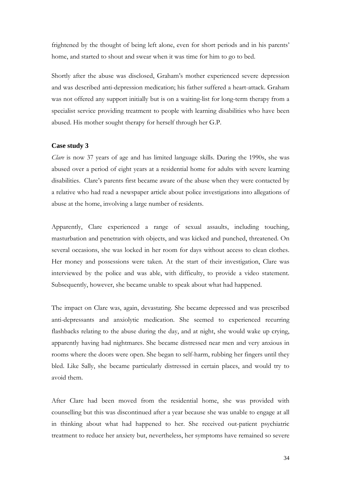frightened by the thought of being left alone, even for short periods and in his parents' home, and started to shout and swear when it was time for him to go to bed.

Shortly after the abuse was disclosed, Graham's mother experienced severe depression and was described anti-depression medication; his father suffered a heart-attack. Graham was not offered any support initially but is on a waiting-list for long-term therapy from a specialist service providing treatment to people with learning disabilities who have been abused. His mother sought therapy for herself through her G.P.

#### **Case study 3**

*Clare* is now 37 years of age and has limited language skills. During the 1990s, she was abused over a period of eight years at a residential home for adults with severe learning disabilities. Clare's parents first became aware of the abuse when they were contacted by a relative who had read a newspaper article about police investigations into allegations of abuse at the home, involving a large number of residents.

Apparently, Clare experienced a range of sexual assaults, including touching, masturbation and penetration with objects, and was kicked and punched, threatened. On several occasions, she was locked in her room for days without access to clean clothes. Her money and possessions were taken. At the start of their investigation, Clare was interviewed by the police and was able, with difficulty, to provide a video statement. Subsequently, however, she became unable to speak about what had happened.

The impact on Clare was, again, devastating. She became depressed and was prescribed anti-depressants and anxiolytic medication. She seemed to experienced recurring flashbacks relating to the abuse during the day, and at night, she would wake up crying, apparently having had nightmares. She became distressed near men and very anxious in rooms where the doors were open. She began to self-harm, rubbing her fingers until they bled. Like Sally, she became particularly distressed in certain places, and would try to avoid them.

After Clare had been moved from the residential home, she was provided with counselling but this was discontinued after a year because she was unable to engage at all in thinking about what had happened to her. She received out-patient psychiatric treatment to reduce her anxiety but, nevertheless, her symptoms have remained so severe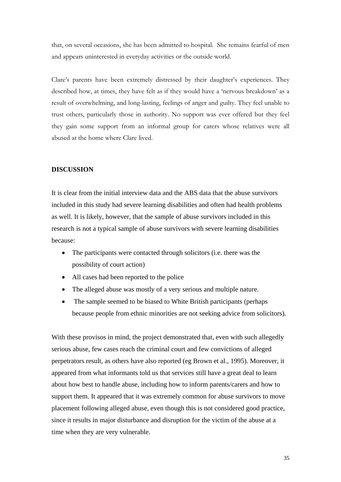that, on several occasions, she has been admitted to hospital. She remains fearful of men and appears uninterested in everyday activities or the outside world.

Clare's parents have been extremely distressed by their daughter's experiences. They described how, at times, they have felt as if they would have a 'nervous breakdown' as a result of overwhelming, and long-lasting, feelings of anger and guilty. They feel unable to trust others, particularly those in authority. No support was ever offered but they feel they gain some support from an informal group for carers whose relatives were all abused at the home where Clare lived.

#### **DISCUSSION**

It is clear from the initial interview data and the ABS data that the abuse survivors included in this study had severe learning disabilities and often had health problems as well. It is likely, however, that the sample of abuse survivors included in this research is not a typical sample of abuse survivors with severe learning disabilities because:

- The participants were contacted through solicitors (i.e. there was the possibility of court action)
- All cases had been reported to the police
- The alleged abuse was mostly of a very serious and multiple nature.
- The sample seemed to be biased to White British participants (perhaps because people from ethnic minorities are not seeking advice from solicitors).

With these provisos in mind, the project demonstrated that, even with such allegedly serious abuse, few cases reach the criminal court and few convictions of alleged perpetrators result, as others have also reported (eg Brown et al., 1995). Moreover, it appeared from what informants told us that services still have a great deal to learn about how best to handle abuse, including how to inform parents/carers and how to support them. It appeared that it was extremely common for abuse survivors to move placement following alleged abuse, even though this is not considered good practice, since it results in major disturbance and disruption for the victim of the abuse at a time when they are very vulnerable.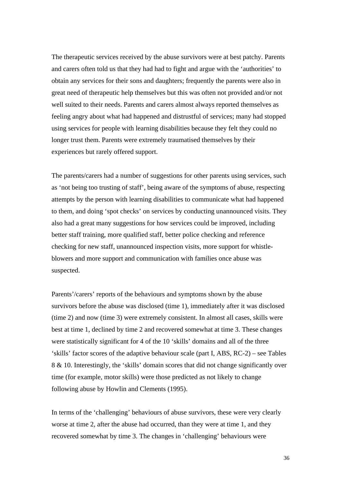The therapeutic services received by the abuse survivors were at best patchy. Parents and carers often told us that they had had to fight and argue with the 'authorities' to obtain any services for their sons and daughters; frequently the parents were also in great need of therapeutic help themselves but this was often not provided and/or not well suited to their needs. Parents and carers almost always reported themselves as feeling angry about what had happened and distrustful of services; many had stopped using services for people with learning disabilities because they felt they could no longer trust them. Parents were extremely traumatised themselves by their experiences but rarely offered support.

The parents/carers had a number of suggestions for other parents using services, such as 'not being too trusting of staff', being aware of the symptoms of abuse, respecting attempts by the person with learning disabilities to communicate what had happened to them, and doing 'spot checks' on services by conducting unannounced visits. They also had a great many suggestions for how services could be improved, including better staff training, more qualified staff, better police checking and reference checking for new staff, unannounced inspection visits, more support for whistleblowers and more support and communication with families once abuse was suspected.

Parents'/carers' reports of the behaviours and symptoms shown by the abuse survivors before the abuse was disclosed (time 1), immediately after it was disclosed (time 2) and now (time 3) were extremely consistent. In almost all cases, skills were best at time 1, declined by time 2 and recovered somewhat at time 3. These changes were statistically significant for 4 of the 10 'skills' domains and all of the three 'skills' factor scores of the adaptive behaviour scale (part I, ABS, RC-2) – see Tables 8 & 10. Interestingly, the 'skills' domain scores that did not change significantly over time (for example, motor skills) were those predicted as not likely to change following abuse by Howlin and Clements (1995).

In terms of the 'challenging' behaviours of abuse survivors, these were very clearly worse at time 2, after the abuse had occurred, than they were at time 1, and they recovered somewhat by time 3. The changes in 'challenging' behaviours were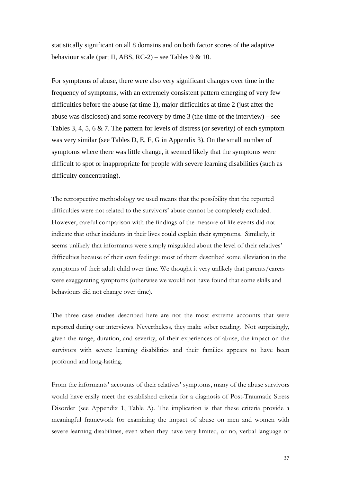statistically significant on all 8 domains and on both factor scores of the adaptive behaviour scale (part II, ABS, RC-2) – see Tables 9  $& 10$ .

For symptoms of abuse, there were also very significant changes over time in the frequency of symptoms, with an extremely consistent pattern emerging of very few difficulties before the abuse (at time 1), major difficulties at time 2 (just after the abuse was disclosed) and some recovery by time  $3$  (the time of the interview) – see Tables 3, 4, 5, 6 & 7. The pattern for levels of distress (or severity) of each symptom was very similar (see Tables D, E, F, G in Appendix 3). On the small number of symptoms where there was little change, it seemed likely that the symptoms were difficult to spot or inappropriate for people with severe learning disabilities (such as difficulty concentrating).

The retrospective methodology we used means that the possibility that the reported difficulties were not related to the survivors' abuse cannot be completely excluded. However, careful comparison with the findings of the measure of life events did not indicate that other incidents in their lives could explain their symptoms. Similarly, it seems unlikely that informants were simply misguided about the level of their relatives' difficulties because of their own feelings: most of them described some alleviation in the symptoms of their adult child over time. We thought it very unlikely that parents/carers were exaggerating symptoms (otherwise we would not have found that some skills and behaviours did not change over time).

The three case studies described here are not the most extreme accounts that were reported during our interviews. Nevertheless, they make sober reading. Not surprisingly, given the range, duration, and severity, of their experiences of abuse, the impact on the survivors with severe learning disabilities and their families appears to have been profound and long-lasting.

From the informants' accounts of their relatives' symptoms, many of the abuse survivors would have easily meet the established criteria for a diagnosis of Post-Traumatic Stress Disorder (see Appendix 1, Table A). The implication is that these criteria provide a meaningful framework for examining the impact of abuse on men and women with severe learning disabilities, even when they have very limited, or no, verbal language or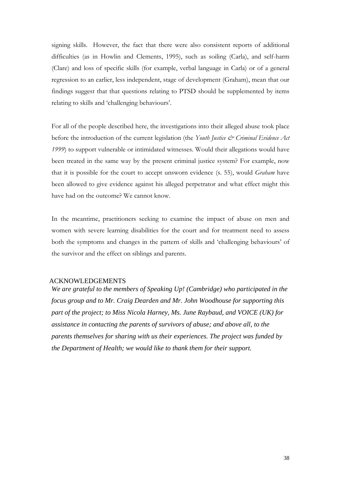signing skills. However, the fact that there were also consistent reports of additional difficulties (as in Howlin and Clements, 1995), such as soiling (Carla), and self-harm (Clare) and loss of specific skills (for example, verbal language in Carla) or of a general regression to an earlier, less independent, stage of development (Graham), mean that our findings suggest that that questions relating to PTSD should be supplemented by items relating to skills and 'challenging behaviours'.

For all of the people described here, the investigations into their alleged abuse took place before the introduction of the current legislation (the *Youth Justice & Criminal Evidence Act 1999*) to support vulnerable or intimidated witnesses. Would their allegations would have been treated in the same way by the present criminal justice system? For example, now that it is possible for the court to accept unsworn evidence (s. 55), would *Graham* have been allowed to give evidence against his alleged perpetrator and what effect might this have had on the outcome? We cannot know.

In the meantime, practitioners seeking to examine the impact of abuse on men and women with severe learning disabilities for the court and for treatment need to assess both the symptoms and changes in the pattern of skills and 'challenging behaviours' of the survivor and the effect on siblings and parents.

#### ACKNOWLEDGEMENTS

*We are grateful to the members of Speaking Up! (Cambridge) who participated in the focus group and to Mr. Craig Dearden and Mr. John Woodhouse for supporting this part of the project; to Miss Nicola Harney, Ms. June Raybaud, and VOICE (UK) for assistance in contacting the parents of survivors of abuse; and above all, to the parents themselves for sharing with us their experiences. The project was funded by the Department of Health; we would like to thank them for their support.*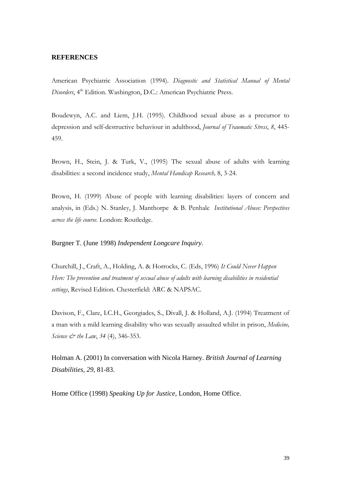#### **REFERENCES**

American Psychiatric Association (1994). *Diagnostic and Statistical Manual of Mental Disorders*, 4<sup>th</sup> Edition. Washington, D.C.: American Psychiatric Press.

Boudewyn, A.C. and Liem, J.H. (1995). Childhood sexual abuse as a precursor to depression and self-destructive behaviour in adulthood, *Journal of Traumatic Stress*, *8*, 445- 459.

Brown, H., Stein, J. & Turk, V., (1995) The sexual abuse of adults with learning disabilities: a second incidence study, *Mental Handicap Research,* 8, 3-24.

Brown, H. (1999) Abuse of people with learning disabilities: layers of concern and analysis, in (Eds.) N. Stanley, J. Manthorpe & B. Penhale *Institutional Abuse: Perspectives across the life course*. London: Routledge.

Burgner T. (June 1998) *Independent Longcare Inquiry.* 

Churchill, J., Craft, A., Holding, A. & Horrocks, C. (Eds, 1996) *It Could Never Happen Here: The prevention and treatment of sexual abuse of adults with learning disabilities in residential settings*, Revised Edition. Chesterfield: ARC & NAPSAC.

Davison, F., Clare, I.C.H., Georgiades, S., Divall, J. & Holland, A.J. (1994) Treatment of a man with a mild learning disability who was sexually assaulted whilst in prison, *Medicine, Science & the Law*, *34* (4), 346-353.

Holman A. (2001) In conversation with Nicola Harney. *British Journal of Learning Disabilities, 29,* 81-83.

Home Office (1998) *Speaking Up for Justice,* London, Home Office.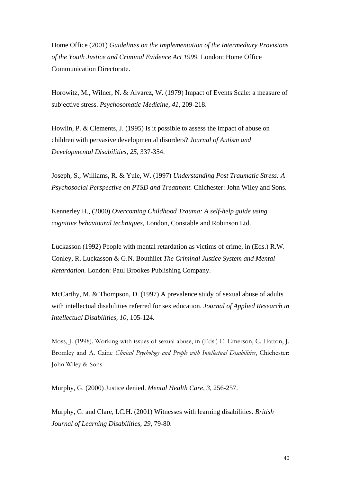Home Office (2001) *Guidelines on the Implementation of the Intermediary Provisions of the Youth Justice and Criminal Evidence Act 1999.* London: Home Office Communication Directorate.

Horowitz, M., Wilner, N. & Alvarez, W. (1979) Impact of Events Scale: a measure of subjective stress. *Psychosomatic Medicine, 41,* 209-218.

Howlin, P. & Clements, J. (1995) Is it possible to assess the impact of abuse on children with pervasive developmental disorders? *Journal of Autism and Developmental Disabilities, 25,* 337-354.

Joseph, S., Williams, R. & Yule, W. (1997) *Understanding Post Traumatic Stress: A Psychosocial Perspective on PTSD and Treatment.* Chichester: John Wiley and Sons.

Kennerley H., (2000) *Overcoming Childhood Trauma: A self-help guide using cognitive behavioural techniques*, London, Constable and Robinson Ltd.

Luckasson (1992) People with mental retardation as victims of crime, in (Eds.) R.W. Conley, R. Luckasson & G.N. Bouthilet *The Criminal Justice System and Mental Retardation.* London: Paul Brookes Publishing Company.

McCarthy, M. & Thompson, D. (1997) A prevalence study of sexual abuse of adults with intellectual disabilities referred for sex education. *Journal of Applied Research in Intellectual Disabilities, 10,* 105-124.

Moss, J. (1998). Working with issues of sexual abuse, in (Eds.) E. Emerson, C. Hatton, J. Bromley and A. Caine *Clinical Psychology and People with Intellectual Disabilities*, Chichester: John Wiley & Sons.

Murphy, G. (2000) Justice denied. *Mental Health Care, 3,* 256-257.

Murphy, G. and Clare, I.C.H. (2001) Witnesses with learning disabilities. *British Journal of Learning Disabilities, 29,* 79-80.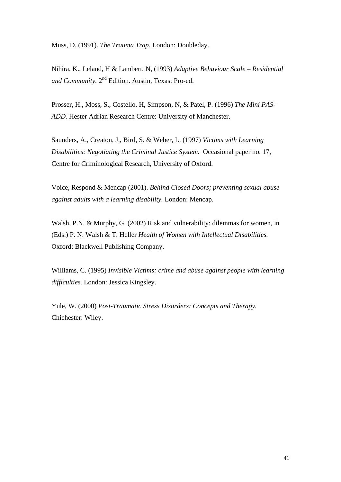Muss, D. (1991). *The Trauma Trap.* London: Doubleday.

Nihira, K., Leland, H & Lambert, N, (1993) *Adaptive Behaviour Scale – Residential*  and Community. 2<sup>nd</sup> Edition. Austin, Texas: Pro-ed.

Prosser, H., Moss, S., Costello, H, Simpson, N, & Patel, P. (1996) *The Mini PAS-ADD.* Hester Adrian Research Centre: University of Manchester.

Saunders, A., Creaton, J., Bird, S. & Weber, L. (1997) *Victims with Learning Disabilities: Negotiating the Criminal Justice System.* Occasional paper no. 17, Centre for Criminological Research, University of Oxford.

Voice, Respond & Mencap (2001). *Behind Closed Doors; preventing sexual abuse against adults with a learning disability.* London: Mencap.

Walsh, P.N. & Murphy, G. (2002) Risk and vulnerability: dilemmas for women, in (Eds.) P. N. Walsh & T. Heller *Health of Women with Intellectual Disabilities.*  Oxford: Blackwell Publishing Company.

Williams, C. (1995) *Invisible Victims: crime and abuse against people with learning difficulties.* London: Jessica Kingsley.

Yule, W. (2000) *Post-Traumatic Stress Disorders: Concepts and Therapy.*  Chichester: Wiley.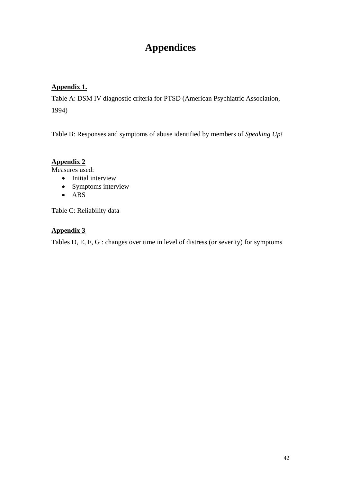# **Appendices**

### **Appendix 1.**

Table A: DSM IV diagnostic criteria for PTSD (American Psychiatric Association, 1994)

Table B: Responses and symptoms of abuse identified by members of *Speaking Up!*

### **Appendix 2**

Measures used:

- Initial interview
- Symptoms interview
- ABS

Table C: Reliability data

### **Appendix 3**

Tables D, E, F, G : changes over time in level of distress (or severity) for symptoms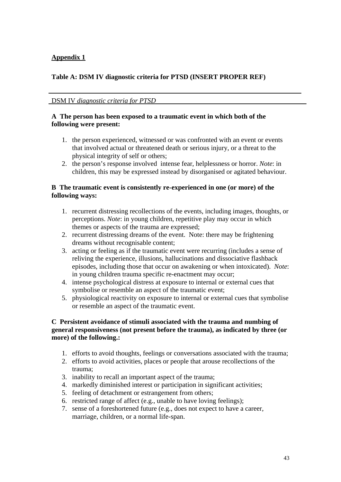### **Appendix 1**

### **Table A: DSM IV diagnostic criteria for PTSD (INSERT PROPER REF)**

DSM IV *diagnostic criteria for PTSD*

### **A The person has been exposed to a traumatic event in which both of the following were present:**

- 1. the person experienced, witnessed or was confronted with an event or events that involved actual or threatened death or serious injury, or a threat to the physical integrity of self or others;
- 2. the person's response involved intense fear, helplessness or horror. *Note*: in children, this may be expressed instead by disorganised or agitated behaviour.

### **B The traumatic event is consistently re-experienced in one (or more) of the following ways:**

- 1. recurrent distressing recollections of the events, including images, thoughts, or perceptions. *Note*: in young children, repetitive play may occur in which themes or aspects of the trauma are expressed;
- 2. recurrent distressing dreams of the event. Note: there may be frightening dreams without recognisable content;
- 3. acting or feeling as if the traumatic event were recurring (includes a sense of reliving the experience, illusions, hallucinations and dissociative flashback episodes, including those that occur on awakening or when intoxicated). *Note*: in young children trauma specific re-enactment may occur;
- 4. intense psychological distress at exposure to internal or external cues that symbolise or resemble an aspect of the traumatic event;
- 5. physiological reactivity on exposure to internal or external cues that symbolise or resemble an aspect of the traumatic event.

### **C Persistent avoidance of stimuli associated with the trauma and numbing of general responsiveness (not present before the trauma), as indicated by three (or more) of the following.:**

- 1. efforts to avoid thoughts, feelings or conversations associated with the trauma;
- 2. efforts to avoid activities, places or people that arouse recollections of the trauma;
- 3. inability to recall an important aspect of the trauma;
- 4. markedly diminished interest or participation in significant activities;
- 5. feeling of detachment or estrangement from others;
- 6. restricted range of affect (e.g., unable to have loving feelings);
- 7. sense of a foreshortened future (e.g., does not expect to have a career, marriage, children, or a normal life-span.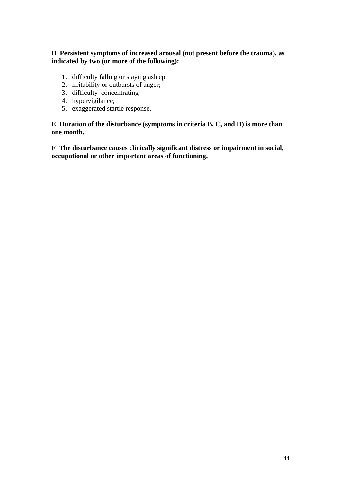### **D Persistent symptoms of increased arousal (not present before the trauma), as indicated by two (or more of the following):**

- 1. difficulty falling or staying asleep;
- 2. irritability or outbursts of anger;
- 3. difficulty concentrating
- 4. hypervigilance;
- 5. exaggerated startle response.

**E Duration of the disturbance (symptoms in criteria B, C, and D) is more than one month.** 

**F The disturbance causes clinically significant distress or impairment in social, occupational or other important areas of functioning.**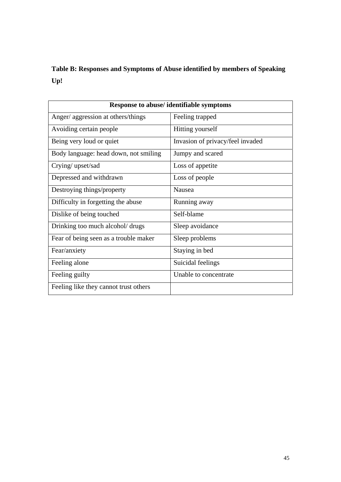**Table B: Responses and Symptoms of Abuse identified by members of Speaking Up!** 

| <b>Response to abuse/identifiable symptoms</b> |                                  |  |  |  |  |
|------------------------------------------------|----------------------------------|--|--|--|--|
| Anger/ aggression at others/things             | Feeling trapped                  |  |  |  |  |
| Avoiding certain people                        | Hitting yourself                 |  |  |  |  |
| Being very loud or quiet                       | Invasion of privacy/feel invaded |  |  |  |  |
| Body language: head down, not smiling          | Jumpy and scared                 |  |  |  |  |
| Crying/upset/sad                               | Loss of appetite                 |  |  |  |  |
| Depressed and withdrawn                        | Loss of people                   |  |  |  |  |
| Destroying things/property                     | Nausea                           |  |  |  |  |
| Difficulty in forgetting the abuse             | Running away                     |  |  |  |  |
| Dislike of being touched                       | Self-blame                       |  |  |  |  |
| Drinking too much alcohol/ drugs               | Sleep avoidance                  |  |  |  |  |
| Fear of being seen as a trouble maker          | Sleep problems                   |  |  |  |  |
| Fear/anxiety                                   | Staying in bed                   |  |  |  |  |
| Feeling alone                                  | Suicidal feelings                |  |  |  |  |
| Feeling guilty                                 | Unable to concentrate            |  |  |  |  |
| Feeling like they cannot trust others          |                                  |  |  |  |  |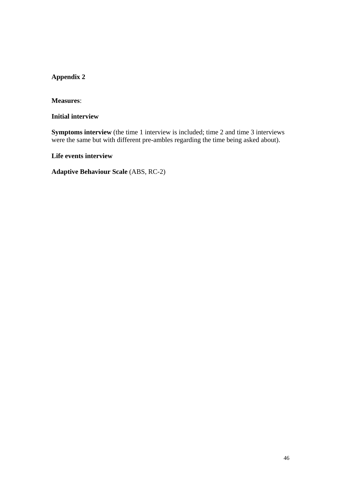### **Appendix 2**

**Measures**:

**Initial interview** 

**Symptoms interview** (the time 1 interview is included; time 2 and time 3 interviews were the same but with different pre-ambles regarding the time being asked about).

**Life events interview** 

**Adaptive Behaviour Scale** (ABS, RC-2)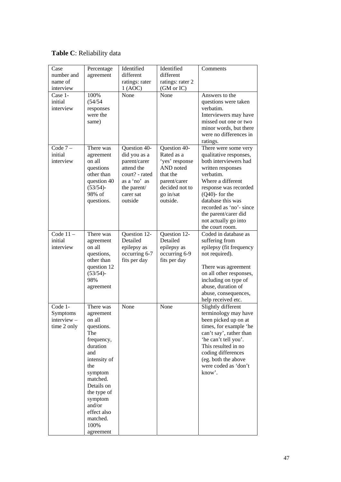### **Table C**: Reliability data

| Case<br>number and<br>name of<br>interview      | Percentage<br>agreement                                                                                                                                                                                                                | Identified<br>different<br>ratings: rater<br>1 (AOC)                                                                                | Identified<br>different<br>ratings: rater 2<br>(GM or IC)                                                                        | Comments                                                                                                                                                                                                                                                                                        |
|-------------------------------------------------|----------------------------------------------------------------------------------------------------------------------------------------------------------------------------------------------------------------------------------------|-------------------------------------------------------------------------------------------------------------------------------------|----------------------------------------------------------------------------------------------------------------------------------|-------------------------------------------------------------------------------------------------------------------------------------------------------------------------------------------------------------------------------------------------------------------------------------------------|
| Case 1-<br>initial<br>interview                 | 100%<br>(54/54)<br>responses<br>were the<br>same)                                                                                                                                                                                      | None                                                                                                                                | None                                                                                                                             | Answers to the<br>questions were taken<br>verbatim.<br>Interviewers may have<br>missed out one or two<br>minor words, but there<br>were no differences in<br>ratings.                                                                                                                           |
| Code $7-$<br>initial<br>interview               | There was<br>agreement<br>on all<br>questions<br>other than<br>question 40<br>$(53/54)$ -<br>98% of<br>questions.                                                                                                                      | Question 40-<br>did you as a<br>parent/carer<br>attend the<br>court? - rated<br>as a 'no' as<br>the parent/<br>carer sat<br>outside | Question 40-<br>Rated as a<br>'yes' response<br>AND noted<br>that the<br>parent/carer<br>decided not to<br>go in/sat<br>outside. | There were some very<br>qualitative responses,<br>both interviewers had<br>written responses<br>verbatim.<br>Where a different<br>response was recorded<br>$(Q40)$ - for the<br>database this was<br>recorded as 'no'- since<br>the parent/carer did<br>not actually go into<br>the court room. |
| Code $11 -$<br>initial<br>interview             | There was<br>agreement<br>on all<br>questions,<br>other than<br>question 12<br>$(53/54)$ -<br>98%<br>agreement                                                                                                                         | Question 12-<br>Detailed<br>epilepsy as<br>occurring 6-7<br>fits per day                                                            | Question 12-<br>Detailed<br>epilepsy as<br>occurring 6-9<br>fits per day                                                         | Coded in database as<br>suffering from<br>epilepsy (fit frequency<br>not required).<br>There was agreement<br>on all other responses,<br>including on type of<br>abuse, duration of<br>abuse, consequences,<br>help received etc.                                                               |
| Code 1-<br>Symptoms<br>interview<br>time 2 only | There was<br>agreement<br>on all<br>questions.<br>The<br>frequency,<br>duration<br>and<br>intensity of<br>the<br>symptom<br>matched.<br>Details on<br>the type of<br>symptom<br>and/or<br>effect also<br>matched.<br>100%<br>agreement | None                                                                                                                                | None                                                                                                                             | Slightly different<br>terminology may have<br>been picked up on at<br>times, for example 'he<br>can't say', rather than<br>'he can't tell you'.<br>This resulted in no<br>coding differences<br>(eg. both the above<br>were coded as 'don't<br>know'.                                           |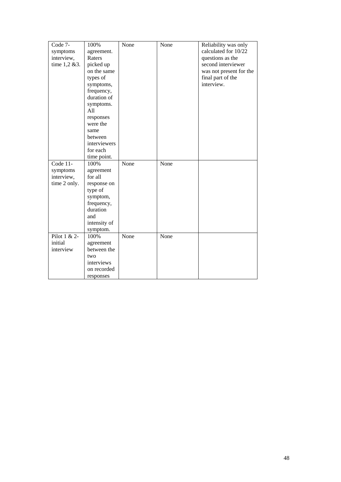| Code 7-      | 100%         | None | None | Reliability was only    |
|--------------|--------------|------|------|-------------------------|
| symptoms     | agreement.   |      |      | calculated for 10/22    |
| interview,   | Raters       |      |      | questions as the        |
| time 1,2 &3. | picked up    |      |      | second interviewer      |
|              | on the same  |      |      | was not present for the |
|              | types of     |      |      | final part of the       |
|              | symptoms,    |      |      | interview.              |
|              | frequency,   |      |      |                         |
|              | duration of  |      |      |                         |
|              | symptoms.    |      |      |                         |
|              | A11          |      |      |                         |
|              | responses    |      |      |                         |
|              | were the     |      |      |                         |
|              | same         |      |      |                         |
|              | between      |      |      |                         |
|              | interviewers |      |      |                         |
|              | for each     |      |      |                         |
|              | time point.  |      |      |                         |
| Code 11-     | 100%         | None | None |                         |
| symptoms     | agreement    |      |      |                         |
| interview,   | for all      |      |      |                         |
| time 2 only. | response on  |      |      |                         |
|              | type of      |      |      |                         |
|              | symptom,     |      |      |                         |
|              | frequency,   |      |      |                         |
|              | duration     |      |      |                         |
|              | and          |      |      |                         |
|              | intensity of |      |      |                         |
|              | symptom.     |      |      |                         |
| Pilot 1 & 2- | 100%         | None | None |                         |
| initial      | agreement    |      |      |                         |
| interview    | between the  |      |      |                         |
|              | two          |      |      |                         |
|              | interviews   |      |      |                         |
|              | on recorded  |      |      |                         |
|              | responses    |      |      |                         |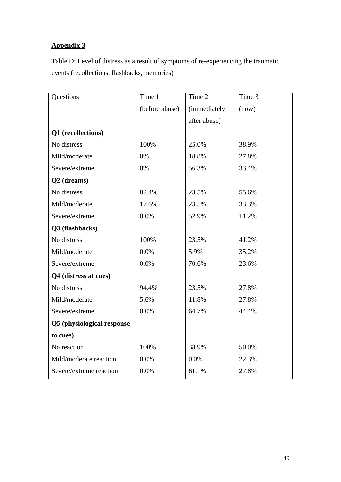# **Appendix 3**

Table D: Level of distress as a result of symptoms of re-experiencing the traumatic events (recollections, flashbacks, memories)

| Questions                  | Time 1         | Time 2       | Time 3 |
|----------------------------|----------------|--------------|--------|
|                            | (before abuse) | (immediately | (now)  |
|                            |                | after abuse) |        |
| Q1 (recollections)         |                |              |        |
| No distress                | 100%           | 25.0%        | 38.9%  |
| Mild/moderate              | 0%             | 18.8%        | 27.8%  |
| Severe/extreme             | 0%             | 56.3%        | 33.4%  |
| Q2 (dreams)                |                |              |        |
| No distress                | 82.4%          | 23.5%        | 55.6%  |
| Mild/moderate              | 17.6%          | 23.5%        | 33.3%  |
| Severe/extreme             | 0.0%           | 52.9%        | 11.2%  |
| Q3 (flashbacks)            |                |              |        |
| No distress                | 100%           | 23.5%        | 41.2%  |
| Mild/moderate              | 0.0%           | 5.9%         | 35.2%  |
| Severe/extreme             | 0.0%           | 70.6%        | 23.6%  |
| Q4 (distress at cues)      |                |              |        |
| No distress                | 94.4%          | 23.5%        | 27.8%  |
| Mild/moderate              | 5.6%           | 11.8%        | 27.8%  |
| Severe/extreme             | 0.0%           | 64.7%        | 44.4%  |
| Q5 (physiological response |                |              |        |
| to cues)                   |                |              |        |
| No reaction                | 100%           | 38.9%        | 50.0%  |
| Mild/moderate reaction     | 0.0%           | 0.0%         | 22.3%  |
| Severe/extreme reaction    | 0.0%           | 61.1%        | 27.8%  |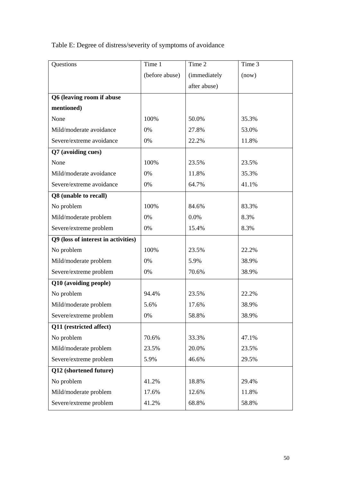| Questions                           | Time 1         | Time 2       | Time 3 |
|-------------------------------------|----------------|--------------|--------|
|                                     | (before abuse) | (immediately | (now)  |
|                                     |                | after abuse) |        |
| Q6 (leaving room if abuse           |                |              |        |
| mentioned)                          |                |              |        |
| None                                | 100%           | 50.0%        | 35.3%  |
| Mild/moderate avoidance             | 0%             | 27.8%        | 53.0%  |
| Severe/extreme avoidance            | 0%             | 22.2%        | 11.8%  |
| Q7 (avoiding cues)                  |                |              |        |
| None                                | 100%           | 23.5%        | 23.5%  |
| Mild/moderate avoidance             | 0%             | 11.8%        | 35.3%  |
| Severe/extreme avoidance            | 0%             | 64.7%        | 41.1%  |
| Q8 (unable to recall)               |                |              |        |
| No problem                          | 100%           | 84.6%        | 83.3%  |
| Mild/moderate problem               | 0%             | 0.0%         | 8.3%   |
| Severe/extreme problem              | 0%             | 15.4%        | 8.3%   |
| Q9 (loss of interest in activities) |                |              |        |
| No problem                          | 100%           | 23.5%        | 22.2%  |
| Mild/moderate problem               | 0%             | 5.9%         | 38.9%  |
| Severe/extreme problem              | 0%             | 70.6%        | 38.9%  |
| Q10 (avoiding people)               |                |              |        |
| No problem                          | 94.4%          | 23.5%        | 22.2%  |
| Mild/moderate problem               | 5.6%           | 17.6%        | 38.9%  |
| Severe/extreme problem              | 0%             | 58.8%        | 38.9%  |
| Q11 (restricted affect)             |                |              |        |
| No problem                          | 70.6%          | 33.3%        | 47.1%  |
| Mild/moderate problem               | 23.5%          | 20.0%        | 23.5%  |
| Severe/extreme problem              | 5.9%           | 46.6%        | 29.5%  |
| Q12 (shortened future)              |                |              |        |
| No problem                          | 41.2%          | 18.8%        | 29.4%  |
| Mild/moderate problem               | 17.6%          | 12.6%        | 11.8%  |
| Severe/extreme problem              | 41.2%          | 68.8%        | 58.8%  |

Table E: Degree of distress/severity of symptoms of avoidance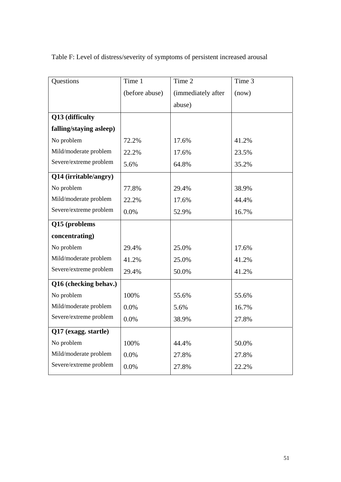| Table F: Level of distress/severity of symptoms of persistent increased arousal |  |  |  |
|---------------------------------------------------------------------------------|--|--|--|

| Questions               | Time 1         | Time 2             | Time 3 |
|-------------------------|----------------|--------------------|--------|
|                         | (before abuse) | (immediately after | (now)  |
|                         |                | abuse)             |        |
| Q13 (difficulty         |                |                    |        |
| falling/staying asleep) |                |                    |        |
| No problem              | 72.2%          | 17.6%              | 41.2%  |
| Mild/moderate problem   | 22.2%          | 17.6%              | 23.5%  |
| Severe/extreme problem  | 5.6%           | 64.8%              | 35.2%  |
| Q14 (irritable/angry)   |                |                    |        |
| No problem              | 77.8%          | 29.4%              | 38.9%  |
| Mild/moderate problem   | 22.2%          | 17.6%              | 44.4%  |
| Severe/extreme problem  | 0.0%           | 52.9%              | 16.7%  |
| Q15 (problems           |                |                    |        |
| concentrating)          |                |                    |        |
| No problem              | 29.4%          | 25.0%              | 17.6%  |
| Mild/moderate problem   | 41.2%          | 25.0%              | 41.2%  |
| Severe/extreme problem  | 29.4%          | 50.0%              | 41.2%  |
| Q16 (checking behav.)   |                |                    |        |
| No problem              | 100%           | 55.6%              | 55.6%  |
| Mild/moderate problem   | 0.0%           | 5.6%               | 16.7%  |
| Severe/extreme problem  | 0.0%           | 38.9%              | 27.8%  |
| Q17 (exagg. startle)    |                |                    |        |
| No problem              | 100%           | 44.4%              | 50.0%  |
| Mild/moderate problem   | 0.0%           | 27.8%              | 27.8%  |
| Severe/extreme problem  | 0.0%           | 27.8%              | 22.2%  |